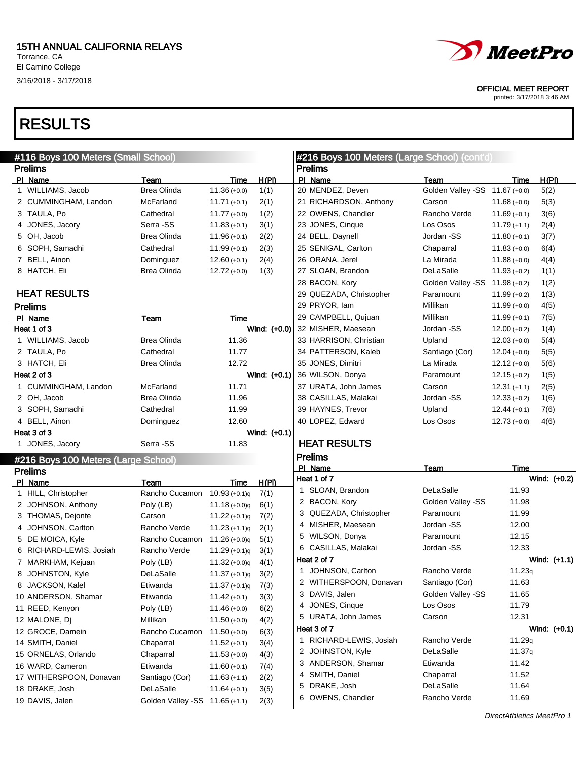El Camino College 3/16/2018 - 3/17/2018

### RESULTS

| H(PI)<br>Time<br>Golden Valley -SS 11.67 (+0.0)<br>5(2)<br>$11.68 (+0.0)$<br>5(3)<br>Rancho Verde<br>$11.69 (+0.1)$<br>3(6)<br>$11.79 (+1.1)$<br>2(4) |
|-------------------------------------------------------------------------------------------------------------------------------------------------------|
|                                                                                                                                                       |
|                                                                                                                                                       |
|                                                                                                                                                       |
|                                                                                                                                                       |
|                                                                                                                                                       |
|                                                                                                                                                       |
| Jordan -SS<br>$11.80 (+0.1)$<br>3(7)                                                                                                                  |
| $11.83 (+0.0)$<br>6(4)                                                                                                                                |
| $11.88 (+0.0)$<br>4(4)                                                                                                                                |
| $11.93 (+0.2)$<br>1(1)                                                                                                                                |
| Golden Valley -SS 11.98 (+0.2)<br>1(2)                                                                                                                |
| Paramount<br>$11.99 (+0.2)$<br>1(3)                                                                                                                   |
| $11.99 (+0.0)$<br>4(5)                                                                                                                                |
| $11.99 (+0.1)$<br>7(5)                                                                                                                                |
| $12.00 (+0.2)$<br>1(4)                                                                                                                                |
| $12.03 (+0.0)$<br>5(4)                                                                                                                                |
| $12.04 (+0.0)$<br>5(5)<br>Santiago (Cor)                                                                                                              |
| $12.12 (+0.0)$<br>5(6)                                                                                                                                |
| $12.15 (+0.2)$<br>1(5)<br>Paramount                                                                                                                   |
| $12.31 (+1.1)$<br>2(5)                                                                                                                                |
| Jordan -SS<br>$12.33 (+0.2)$<br>1(6)                                                                                                                  |
| $12.44 (+0.1)$<br>7(6)                                                                                                                                |
| $12.73 (+0.0)$<br>4(6)                                                                                                                                |
|                                                                                                                                                       |
|                                                                                                                                                       |
|                                                                                                                                                       |
| Time                                                                                                                                                  |
| Wind: (+0.2)                                                                                                                                          |
| 11.93                                                                                                                                                 |
| Golden Valley -SS<br>11.98                                                                                                                            |
| 11.99                                                                                                                                                 |
| 12.00                                                                                                                                                 |
| 12.15                                                                                                                                                 |
| 12.33                                                                                                                                                 |
| Wind: (+1.1)                                                                                                                                          |
| 11.23q<br>Rancho Verde                                                                                                                                |
| Santiago (Cor)<br>11.63                                                                                                                               |
| Golden Valley -SS<br>11.65                                                                                                                            |
| 11.79                                                                                                                                                 |
| 12.31                                                                                                                                                 |
| Wind: (+0.1)                                                                                                                                          |
| Rancho Verde<br>11.29q                                                                                                                                |
| 11.37q                                                                                                                                                |
| 11.42                                                                                                                                                 |
| 11.52                                                                                                                                                 |
| 11.64                                                                                                                                                 |
| Rancho Verde<br>11.69                                                                                                                                 |
| Jordan -SS<br>Paramount<br>Jordan -SS<br>Paramount<br>Jordan -SS                                                                                      |

printed: 3/17/2018 3:46 AM

DirectAthletics MeetPro 1

OFFICIAL MEET REPORT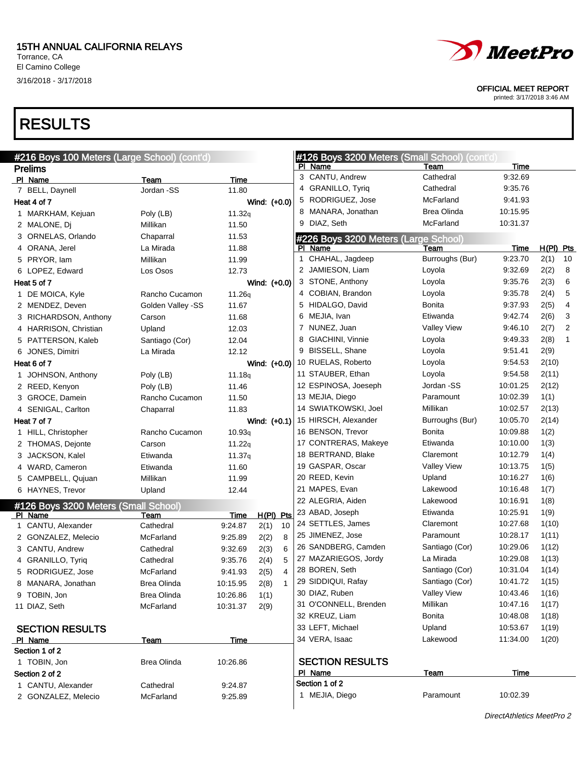El Camino College 3/16/2018 - 3/17/2018

### RESULTS

| #216 Boys 100 Meters (Large School) (cont'd)    |                    |               |              |                |   | #126 Boys 3200 Meters (Small School) (cont'd)<br>PI Name | Team               |                 | Time     |             |              |
|-------------------------------------------------|--------------------|---------------|--------------|----------------|---|----------------------------------------------------------|--------------------|-----------------|----------|-------------|--------------|
| <b>Prelims</b>                                  |                    |               |              |                |   | 3 CANTU, Andrew                                          | Cathedral          |                 | 9:32.69  |             |              |
| PI Name<br>7 BELL, Daynell                      | Team<br>Jordan -SS | Time<br>11.80 |              |                |   | 4 GRANILLO, Tyriq                                        | Cathedral          |                 | 9:35.76  |             |              |
| Heat 4 of 7                                     |                    |               | Wind: (+0.0) |                | 5 | RODRIGUEZ, Jose                                          | McFarland          |                 | 9:41.93  |             |              |
| 1 MARKHAM, Kejuan                               | Poly (LB)          | 11.32q        |              |                |   | 8 MANARA, Jonathan                                       | <b>Brea Olinda</b> |                 | 10:15.95 |             |              |
| 2 MALONE, Dj                                    | Millikan           | 11.50         |              |                | 9 | DIAZ, Seth                                               | McFarland          |                 | 10:31.37 |             |              |
| 3 ORNELAS, Orlando                              | Chaparral          | 11.53         |              |                |   |                                                          |                    |                 |          |             |              |
| 4 ORANA, Jerel                                  | La Mirada          | 11.88         |              |                |   | #226 Boys 3200 Meters (Large School)<br>PI Name          | Team               |                 | Time     | $H(PI)$ Pts |              |
| 5 PRYOR, lam                                    | Millikan           | 11.99         |              |                |   | 1 CHAHAL, Jagdeep                                        |                    | Burroughs (Bur) | 9:23.70  | 2(1)        | 10           |
| 6 LOPEZ, Edward                                 | Los Osos           | 12.73         |              |                |   | 2 JAMIESON, Liam                                         | Loyola             |                 | 9:32.69  | 2(2)        | 8            |
| Heat 5 of 7                                     |                    |               | Wind: (+0.0) |                |   | 3 STONE, Anthony                                         | Loyola             |                 | 9:35.76  | 2(3)        | 6            |
| 1 DE MOICA, Kyle                                | Rancho Cucamon     | 11.26q        |              |                |   | 4 COBIAN, Brandon                                        | Loyola             |                 | 9:35.78  | 2(4)        | 5            |
| 2 MENDEZ, Deven                                 | Golden Valley -SS  | 11.67         |              |                |   | 5 HIDALGO, David                                         | Bonita             |                 | 9:37.93  | 2(5)        | 4            |
| 3 RICHARDSON, Anthony                           | Carson             | 11.68         |              |                |   | 6 MEJIA, Ivan                                            | Etiwanda           |                 | 9:42.74  | 2(6)        | 3            |
| 4 HARRISON, Christian                           | Upland             | 12.03         |              |                |   | 7 NUNEZ, Juan                                            | <b>Valley View</b> |                 | 9:46.10  | 2(7)        | 2            |
| 5 PATTERSON, Kaleb                              | Santiago (Cor)     | 12.04         |              |                |   | 8 GIACHINI, Vinnie                                       | Loyola             |                 | 9:49.33  | 2(8)        | $\mathbf{1}$ |
| 6 JONES, Dimitri                                | La Mirada          | 12.12         |              |                |   | 9 BISSELL, Shane                                         | Loyola             |                 | 9:51.41  | 2(9)        |              |
| Heat 6 of 7                                     |                    |               | Wind: (+0.0) |                |   | 10 RUELAS, Roberto                                       | Loyola             |                 | 9:54.53  | 2(10)       |              |
| 1 JOHNSON, Anthony                              | Poly (LB)          | 11.18q        |              |                |   | 11 STAUBER, Ethan                                        | Loyola             |                 | 9:54.58  | 2(11)       |              |
| 2 REED, Kenyon                                  | Poly (LB)          | 11.46         |              |                |   | 12 ESPINOSA, Joeseph                                     | Jordan -SS         |                 | 10:01.25 | 2(12)       |              |
| 3 GROCE, Damein                                 | Rancho Cucamon     | 11.50         |              |                |   | 13 MEJIA, Diego                                          | Paramount          |                 | 10:02.39 | 1(1)        |              |
| 4 SENIGAL, Carlton                              | Chaparral          | 11.83         |              |                |   | 14 SWIATKOWSKI, Joel                                     | Millikan           |                 | 10:02.57 | 2(13)       |              |
| Heat 7 of 7                                     |                    |               | Wind: (+0.1) |                |   | 15 HIRSCH, Alexander                                     |                    | Burroughs (Bur) | 10:05.70 | 2(14)       |              |
| 1 HILL, Christopher                             | Rancho Cucamon     | 10.93q        |              |                |   | 16 BENSON, Trevor                                        | Bonita             |                 | 10:09.88 | 1(2)        |              |
| 2 THOMAS, Dejonte                               | Carson             | 11.22q        |              |                |   | 17 CONTRERAS, Makeye                                     | Etiwanda           |                 | 10:10.00 | 1(3)        |              |
| 3 JACKSON, Kalel                                | Etiwanda           | 11.37q        |              |                |   | 18 BERTRAND, Blake                                       | Claremont          |                 | 10:12.79 | 1(4)        |              |
| 4 WARD, Cameron                                 | Etiwanda           | 11.60         |              |                |   | 19 GASPAR, Oscar                                         | <b>Valley View</b> |                 | 10:13.75 | 1(5)        |              |
| 5 CAMPBELL, Qujuan                              | Millikan           | 11.99         |              |                |   | 20 REED, Kevin                                           | Upland             |                 | 10:16.27 | 1(6)        |              |
| 6 HAYNES, Trevor                                | Upland             | 12.44         |              |                |   | 21 MAPES, Evan                                           | Lakewood           |                 | 10:16.48 | 1(7)        |              |
|                                                 |                    |               |              |                |   | 22 ALEGRIA, Aiden                                        | Lakewood           |                 | 10:16.91 | 1(8)        |              |
| #126 Boys 3200 Meters (Small School)<br>PI Name | Team               | Time          | $H(PI)$ Pts  |                |   | 23 ABAD, Joseph                                          | Etiwanda           |                 | 10:25.91 | 1(9)        |              |
| 1 CANTU, Alexander                              | Cathedral          | 9:24.87       | 2(1)         | 10             |   | 24 SETTLES, James                                        | Claremont          |                 | 10:27.68 | 1(10)       |              |
| 2 GONZALEZ, Melecio                             | McFarland          | 9:25.89       | 2(2)         | 8              |   | 25 JIMENEZ, Jose                                         | Paramount          |                 | 10:28.17 | 1(11)       |              |
| 3 CANTU, Andrew                                 | Cathedral          | 9:32.69       | 2(3)         | 6              |   | 26 SANDBERG, Camden                                      | Santiago (Cor)     |                 | 10:29.06 | 1(12)       |              |
| 4 GRANILLO, Tyrig                               | Cathedral          | 9:35.76       | 2(4)         | 5              |   | 27 MAZARIEGOS, Jordy                                     | La Mirada          |                 | 10:29.08 | 1(13)       |              |
| 5 RODRIGUEZ, Jose                               | McFarland          | 9:41.93       | 2(5)         | 4              |   | 28 BOREN, Seth                                           | Santiago (Cor)     |                 | 10:31.04 | 1(14)       |              |
| 8 MANARA, Jonathan                              | Brea Olinda        | 10:15.95      | 2(8)         | $\overline{1}$ |   | 29 SIDDIQUI, Rafay                                       | Santiago (Cor)     |                 | 10:41.72 | 1(15)       |              |
| 9 TOBIN, Jon                                    | Brea Olinda        | 10:26.86      | 1(1)         |                |   | 30 DIAZ, Ruben                                           | Valley View        |                 | 10:43.46 | 1(16)       |              |
| 11 DIAZ, Seth                                   | McFarland          | 10:31.37      | 2(9)         |                |   | 31 O'CONNELL, Brenden                                    | Millikan           |                 | 10:47.16 | 1(17)       |              |
|                                                 |                    |               |              |                |   | 32 KREUZ, Liam                                           | Bonita             |                 | 10:48.08 | 1(18)       |              |
| <b>SECTION RESULTS</b>                          |                    |               |              |                |   | 33 LEFT, Michael                                         | Upland             |                 | 10:53.67 | 1(19)       |              |
| PI Name                                         | Team               | Time          |              |                |   | 34 VERA, Isaac                                           | Lakewood           |                 | 11:34.00 | 1(20)       |              |
| Section 1 of 2                                  |                    |               |              |                |   |                                                          |                    |                 |          |             |              |
| 1 TOBIN, Jon                                    | <b>Brea Olinda</b> | 10:26.86      |              |                |   | <b>SECTION RESULTS</b>                                   |                    |                 |          |             |              |
| Section 2 of 2                                  |                    |               |              |                |   | PI Name                                                  | <u>Team</u>        |                 | Time     |             |              |
| 1 CANTU, Alexander                              | Cathedral          | 9:24.87       |              |                |   | Section 1 of 2                                           |                    |                 |          |             |              |
| 2 GONZALEZ, Melecio                             | McFarland          | 9:25.89       |              |                |   | 1 MEJIA, Diego                                           | Paramount          |                 | 10:02.39 |             |              |
|                                                 |                    |               |              |                |   |                                                          |                    |                 |          |             |              |



OFFICIAL MEET REPORT

printed: 3/17/2018 3:46 AM

DirectAthletics MeetPro 2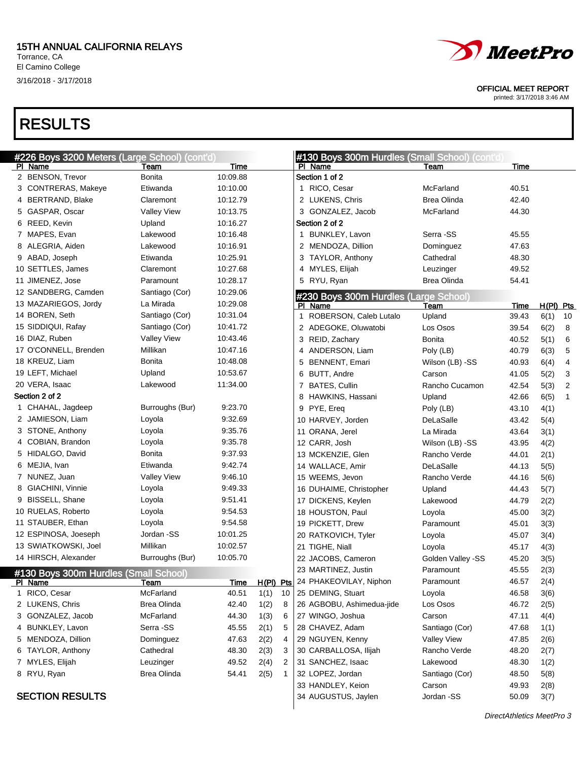#### 15TH ANNUAL CALIFORNIA RELAYS

Torrance, CA El Camino College 3/16/2018 - 3/17/2018

### RESULTS

| #226 Boys 3200 Meters (Large School) (cont'd) |                    |             |                   |    | #130 Boys 300m Hurdles (Small School) (cont'd) |                    |       |             |              |
|-----------------------------------------------|--------------------|-------------|-------------------|----|------------------------------------------------|--------------------|-------|-------------|--------------|
| PI Name                                       | Team               | Time        |                   |    | PI Name                                        | Team               | Time  |             |              |
| 2 BENSON, Trevor                              | Bonita             | 10:09.88    |                   |    | Section 1 of 2                                 |                    |       |             |              |
| 3 CONTRERAS, Makeye                           | Etiwanda           | 10:10.00    |                   |    | 1 RICO, Cesar                                  | McFarland          | 40.51 |             |              |
| 4 BERTRAND, Blake                             | Claremont          | 10:12.79    |                   |    | 2 LUKENS, Chris                                | Brea Olinda        | 42.40 |             |              |
| 5 GASPAR, Oscar                               | <b>Valley View</b> | 10:13.75    |                   |    | 3 GONZALEZ, Jacob                              | McFarland          | 44.30 |             |              |
| 6 REED, Kevin                                 | Upland             | 10:16.27    |                   |    | Section 2 of 2                                 |                    |       |             |              |
| 7 MAPES, Evan                                 | Lakewood           | 10:16.48    |                   |    | 1 BUNKLEY, Lavon                               | Serra -SS          | 45.55 |             |              |
| 8 ALEGRIA, Aiden                              | Lakewood           | 10:16.91    |                   |    | 2 MENDOZA, Dillion                             | Dominguez          | 47.63 |             |              |
| 9 ABAD, Joseph                                | Etiwanda           | 10:25.91    |                   |    | 3 TAYLOR, Anthony                              | Cathedral          | 48.30 |             |              |
| 10 SETTLES, James                             | Claremont          | 10:27.68    |                   |    | 4 MYLES, Elijah                                | Leuzinger          | 49.52 |             |              |
| 11 JIMENEZ, Jose                              | Paramount          | 10:28.17    |                   |    | 5 RYU, Ryan                                    | Brea Olinda        | 54.41 |             |              |
| 12 SANDBERG, Camden                           | Santiago (Cor)     | 10:29.06    |                   |    | #230 Boys 300m Hurdles (Large School)          |                    |       |             |              |
| 13 MAZARIEGOS, Jordy                          | La Mirada          | 10:29.08    |                   |    | PI Name                                        | Team               | Time  | $H(PI)$ Pts |              |
| 14 BOREN, Seth                                | Santiago (Cor)     | 10:31.04    |                   |    | 1 ROBERSON, Caleb Lutalo                       | Upland             | 39.43 | 6(1)        | 10           |
| 15 SIDDIQUI, Rafay                            | Santiago (Cor)     | 10:41.72    |                   |    | 2 ADEGOKE, Oluwatobi                           | Los Osos           | 39.54 | 6(2)        | 8            |
| 16 DIAZ, Ruben                                | <b>Valley View</b> | 10:43.46    |                   |    | 3 REID, Zachary                                | Bonita             | 40.52 | 5(1)        | 6            |
| 17 O'CONNELL, Brenden                         | Millikan           | 10:47.16    |                   |    | 4 ANDERSON, Liam                               | Poly (LB)          | 40.79 | 6(3)        | 5            |
| 18 KREUZ, Liam                                | Bonita             | 10:48.08    |                   |    | 5 BENNENT, Emari                               | Wilson (LB) -SS    | 40.93 | 6(4)        | 4            |
| 19 LEFT, Michael                              | Upland             | 10:53.67    |                   |    | 6 BUTT, Andre                                  | Carson             | 41.05 | 5(2)        | 3            |
| 20 VERA, Isaac                                | Lakewood           | 11:34.00    |                   |    | 7 BATES, Cullin                                | Rancho Cucamon     | 42.54 | 5(3)        | 2            |
| Section 2 of 2                                |                    |             |                   |    | 8 HAWKINS, Hassani                             | Upland             | 42.66 | 6(5)        | $\mathbf{1}$ |
| 1 CHAHAL, Jagdeep                             | Burroughs (Bur)    | 9:23.70     |                   |    | 9 PYE, Ereq                                    | Poly (LB)          | 43.10 | 4(1)        |              |
| 2 JAMIESON, Liam                              | Loyola             | 9:32.69     |                   |    | 10 HARVEY, Jorden                              | DeLaSalle          | 43.42 | 5(4)        |              |
| 3 STONE, Anthony                              | Loyola             | 9:35.76     |                   |    | 11 ORANA, Jerel                                | La Mirada          | 43.64 | 3(1)        |              |
| 4 COBIAN, Brandon                             | Loyola             | 9:35.78     |                   |    | 12 CARR, Josh                                  | Wilson (LB) -SS    | 43.95 | 4(2)        |              |
| 5 HIDALGO, David                              | Bonita             | 9:37.93     |                   |    | 13 MCKENZIE, Glen                              | Rancho Verde       | 44.01 | 2(1)        |              |
| 6 MEJIA, Ivan                                 | Etiwanda           | 9:42.74     |                   |    | 14 WALLACE, Amir                               | DeLaSalle          | 44.13 | 5(5)        |              |
| 7 NUNEZ, Juan                                 | <b>Valley View</b> | 9:46.10     |                   |    | 15 WEEMS, Jevon                                | Rancho Verde       | 44.16 | 5(6)        |              |
| 8 GIACHINI, Vinnie                            | Loyola             | 9:49.33     |                   |    | 16 DUHAIME, Christopher                        | Upland             | 44.43 | 5(7)        |              |
| 9 BISSELL, Shane                              | Loyola             | 9:51.41     |                   |    | 17 DICKENS, Keylen                             | Lakewood           | 44.79 | 2(2)        |              |
| 10 RUELAS, Roberto                            | Loyola             | 9:54.53     |                   |    | 18 HOUSTON, Paul                               | Loyola             | 45.00 | 3(2)        |              |
| 11 STAUBER, Ethan                             | Loyola             | 9:54.58     |                   |    | 19 PICKETT, Drew                               | Paramount          | 45.01 | 3(3)        |              |
| 12 ESPINOSA, Joeseph                          | Jordan -SS         | 10:01.25    |                   |    | 20 RATKOVICH, Tyler                            | Loyola             | 45.07 | 3(4)        |              |
| 13 SWIATKOWSKI, Joel                          | Millikan           | 10:02.57    |                   |    | 21 TIGHE, Niall                                | Loyola             | 45.17 | 4(3)        |              |
| 14 HIRSCH, Alexander                          | Burroughs (Bur)    | 10:05.70    |                   |    | 22 JACOBS, Cameron                             | Golden Valley -SS  | 45.20 | 3(5)        |              |
| #130 Boys 300m Hurdles (Small School)         |                    |             |                   |    | 23 MARTINEZ, Justin                            | Paramount          | 45.55 | 2(3)        |              |
| <u>PI Name</u>                                | Team               | <u>Time</u> | <u>H(PI) Ptsj</u> |    | 24 PHAKEOVILAY, Niphon                         | Paramount          | 46.57 | 2(4)        |              |
| 1 RICO, Cesar                                 | McFarland          | 40.51       | 1(1)              | 10 | 25 DEMING, Stuart                              | Loyola             | 46.58 | 3(6)        |              |
| 2 LUKENS, Chris                               | Brea Olinda        | 42.40       | 1(2)              | 8  | 26 AGBOBU, Ashimedua-jide                      | Los Osos           | 46.72 | 2(5)        |              |
| 3 GONZALEZ, Jacob                             | McFarland          | 44.30       | 1(3)              | 6  | 27 WINGO, Joshua                               | Carson             | 47.11 | 4(4)        |              |
| 4 BUNKLEY, Lavon                              | Serra -SS          | 45.55       | 2(1)              | 5  | 28 CHAVEZ, Adam                                | Santiago (Cor)     | 47.68 | 1(1)        |              |
| 5 MENDOZA, Dillion                            | Dominguez          | 47.63       | 2(2)              | 4  | 29 NGUYEN, Kenny                               | <b>Valley View</b> | 47.85 | 2(6)        |              |
| 6 TAYLOR, Anthony                             | Cathedral          | 48.30       | 2(3)              | 3  | 30 CARBALLOSA, Ilijah                          | Rancho Verde       | 48.20 | 2(7)        |              |
| 7 MYLES, Elijah                               | Leuzinger          | 49.52       | 2(4)              | 2  | 31 SANCHEZ, Isaac                              | Lakewood           | 48.30 | 1(2)        |              |
| 8 RYU, Ryan                                   | Brea Olinda        | 54.41       | 2(5)              | 1  | 32 LOPEZ, Jordan                               | Santiago (Cor)     | 48.50 | 5(8)        |              |
|                                               |                    |             |                   |    | 33 HANDLEY, Keion                              | Carson             | 49.93 | 2(8)        |              |
| <b>SECTION RESULTS</b>                        |                    |             |                   |    | 34 AUGUSTUS, Jaylen                            | Jordan -SS         | 50.09 | 3(7)        |              |



OFFICIAL MEET REPORT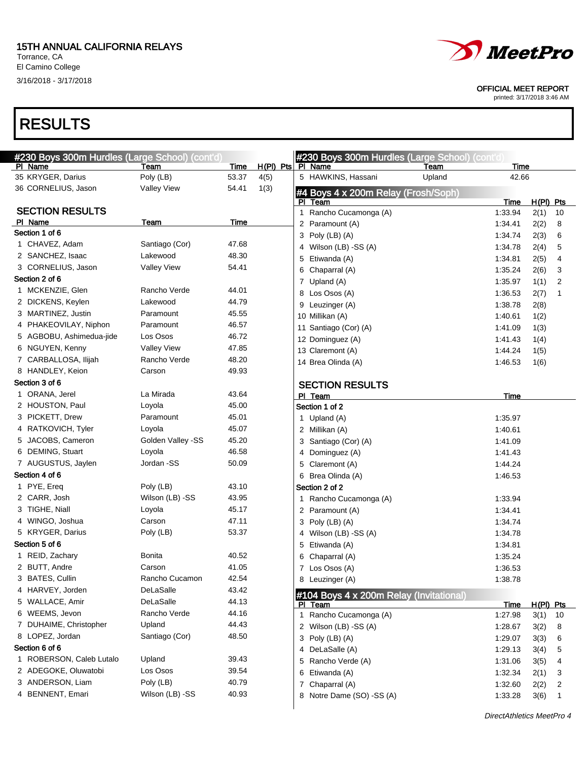El Camino College 3/16/2018 - 3/17/2018

## *MeetPro*

OFFICIAL MEET REPORT

printed: 3/17/2018 3:46 AM

| #230 Boys 300m Hurdles (Large School) (cont'd) |                    |                |                       |              | #230 Boys 300m Hurdles (Large School) (cont'd) |        |                    |              |              |
|------------------------------------------------|--------------------|----------------|-----------------------|--------------|------------------------------------------------|--------|--------------------|--------------|--------------|
| PI Name                                        | Team               | <b>Time</b>    | $H(PI)$ Pts $Pl$ Name |              |                                                | Team   | Time               |              |              |
| 35 KRYGER, Darius                              | Poly (LB)          | 53.37          | 4(5)                  |              | 5 HAWKINS, Hassani                             | Upland | 42.66              |              |              |
| 36 CORNELIUS, Jason                            | <b>Valley View</b> | 54.41          | 1(3)                  |              | #4 Boys 4 x 200m Relay (Frosh/Soph)            |        |                    |              |              |
|                                                |                    |                |                       |              | PI Team                                        |        | Time               | $H(PI)$ Pts  |              |
| <b>SECTION RESULTS</b>                         |                    |                |                       |              | 1 Rancho Cucamonga (A)                         |        | 1:33.94            | 2(1)         | 10           |
| PI Name                                        | Team               | Time           |                       |              | 2 Paramount (A)                                |        | 1:34.41            | 2(2)         | 8            |
| Section 1 of 6                                 |                    |                |                       |              | 3 Poly (LB) (A)                                |        | 1:34.74            | 2(3)         | 6            |
| 1 CHAVEZ, Adam                                 | Santiago (Cor)     | 47.68          |                       |              | 4 Wilson (LB) -SS (A)                          |        | 1:34.78            | 2(4)         | 5            |
| 2 SANCHEZ, Isaac                               | Lakewood           | 48.30          |                       | 5            | Etiwanda (A)                                   |        | 1:34.81            | 2(5)         | 4            |
| 3 CORNELIUS, Jason                             | <b>Valley View</b> | 54.41          |                       | 6            | Chaparral (A)                                  |        | 1:35.24            | 2(6)         | 3            |
| Section 2 of 6                                 |                    |                |                       |              | 7 Upland (A)                                   |        | 1:35.97            | 1(1)         | 2            |
| 1 MCKENZIE, Glen                               | Rancho Verde       | 44.01<br>44.79 |                       |              | 8 Los Osos (A)                                 |        | 1:36.53            | 2(7)         | 1            |
| 2 DICKENS, Keylen                              | Lakewood           |                |                       |              | 9 Leuzinger (A)                                |        | 1:38.78            | 2(8)         |              |
| 3 MARTINEZ, Justin                             | Paramount          | 45.55          |                       |              | 10 Millikan (A)                                |        | 1:40.61            | 1(2)         |              |
| 4 PHAKEOVILAY, Niphon                          | Paramount          | 46.57<br>46.72 |                       |              | 11 Santiago (Cor) (A)                          |        | 1:41.09            | 1(3)         |              |
| 5 AGBOBU, Ashimedua-jide                       | Los Osos           |                |                       |              | 12 Dominguez (A)                               |        | 1:41.43            | 1(4)         |              |
| 6 NGUYEN, Kenny                                | <b>Valley View</b> | 47.85          |                       |              | 13 Claremont (A)                               |        | 1:44.24            | 1(5)         |              |
| 7 CARBALLOSA, Ilijah                           | Rancho Verde       | 48.20          |                       |              | 14 Brea Olinda (A)                             |        | 1:46.53            | 1(6)         |              |
| 8 HANDLEY, Keion<br>Section 3 of 6             | Carson             | 49.93          |                       |              |                                                |        |                    |              |              |
|                                                | La Mirada          | 43.64          |                       |              | <b>SECTION RESULTS</b>                         |        |                    |              |              |
| 1 ORANA, Jerel<br>2 HOUSTON, Paul              | Loyola             | 45.00          |                       |              | PI Team                                        |        | <b>Time</b>        |              |              |
| 3 PICKETT, Drew                                | Paramount          | 45.01          |                       |              | Section 1 of 2                                 |        |                    |              |              |
| 4 RATKOVICH, Tyler                             | Loyola             | 45.07          |                       |              | 1 Upland (A)                                   |        | 1:35.97            |              |              |
| 5 JACOBS, Cameron                              | Golden Valley -SS  | 45.20          |                       |              | 2 Millikan (A)                                 |        | 1:40.61            |              |              |
| 6 DEMING, Stuart                               | Loyola             | 46.58          |                       |              | 3 Santiago (Cor) (A)                           |        | 1:41.09            |              |              |
| 7 AUGUSTUS, Jaylen                             | Jordan -SS         | 50.09          |                       | 4            | Dominguez (A)                                  |        | 1:41.43            |              |              |
| Section 4 of 6                                 |                    |                |                       | 5            | Claremont (A)                                  |        | 1:44.24            |              |              |
| 1 PYE, Ereq                                    | Poly (LB)          | 43.10          |                       |              | 6 Brea Olinda (A)<br>Section 2 of 2            |        | 1:46.53            |              |              |
| 2 CARR, Josh                                   | Wilson (LB) -SS    | 43.95          |                       |              |                                                |        |                    |              |              |
| 3 TIGHE, Niall                                 | Loyola             | 45.17          |                       |              | 1 Rancho Cucamonga (A)                         |        | 1:33.94            |              |              |
| 4 WINGO, Joshua                                | Carson             | 47.11          |                       |              | 2 Paramount (A)                                |        | 1:34.41            |              |              |
| 5 KRYGER, Darius                               | Poly (LB)          | 53.37          |                       |              | 3 Poly (LB) (A)                                |        | 1:34.74            |              |              |
| Section 5 of 6                                 |                    |                |                       | 5            | 4 Wilson (LB) -SS (A)                          |        | 1:34.78<br>1:34.81 |              |              |
| 1 REID, Zachary                                | Bonita             | 40.52          |                       | 6            | Etiwanda (A)<br>Chaparral (A)                  |        | 1:35.24            |              |              |
| 2 BUTT, Andre                                  | Carson             | 41.05          |                       |              | 7 Los Osos (A)                                 |        | 1:36.53            |              |              |
| 3 BATES, Cullin                                | Rancho Cucamon     | 42.54          |                       |              | 8 Leuzinger (A)                                |        | 1:38.78            |              |              |
| 4 HARVEY, Jorden                               | DeLaSalle          | 43.42          |                       |              |                                                |        |                    |              |              |
| 5 WALLACE, Amir                                | DeLaSalle          | 44.13          |                       |              | #104 Boys 4 x 200m Relay (Invitational)        |        |                    |              |              |
| 6 WEEMS, Jevon                                 | Rancho Verde       | 44.16          |                       |              | PI Team<br>Rancho Cucamonga (A)                |        | Time               | $H(PI)$ Pts  |              |
| 7 DUHAIME, Christopher                         | Upland             | 44.43          |                       | $\mathbf{1}$ |                                                |        | 1:27.98            | 3(1)         | 10           |
| 8 LOPEZ, Jordan                                | Santiago (Cor)     | 48.50          |                       |              | 2 Wilson (LB) -SS (A)<br>3 Poly (LB) (A)       |        | 1:28.67<br>1:29.07 | 3(2)         | 8            |
| Section 6 of 6                                 |                    |                |                       |              | 4 DeLaSalle (A)                                |        |                    | 3(3)         | 6            |
| 1 ROBERSON, Caleb Lutalo                       | Upland             | 39.43          |                       |              | 5 Rancho Verde (A)                             |        | 1:29.13<br>1:31.06 | 3(4)         | 5            |
| 2 ADEGOKE, Oluwatobi                           | Los Osos           | 39.54          |                       | 6            | Etiwanda (A)                                   |        | 1:32.34            | 3(5)<br>2(1) | 4<br>3       |
| 3 ANDERSON, Liam                               | Poly (LB)          | 40.79          |                       |              | 7 Chaparral (A)                                |        | 1:32.60            | 2(2)         | 2            |
| 4 BENNENT, Emari                               | Wilson (LB) -SS    | 40.93          |                       |              | 8 Notre Dame (SO) -SS (A)                      |        | 1:33.28            | 3(6)         | $\mathbf{1}$ |
|                                                |                    |                |                       |              |                                                |        |                    |              |              |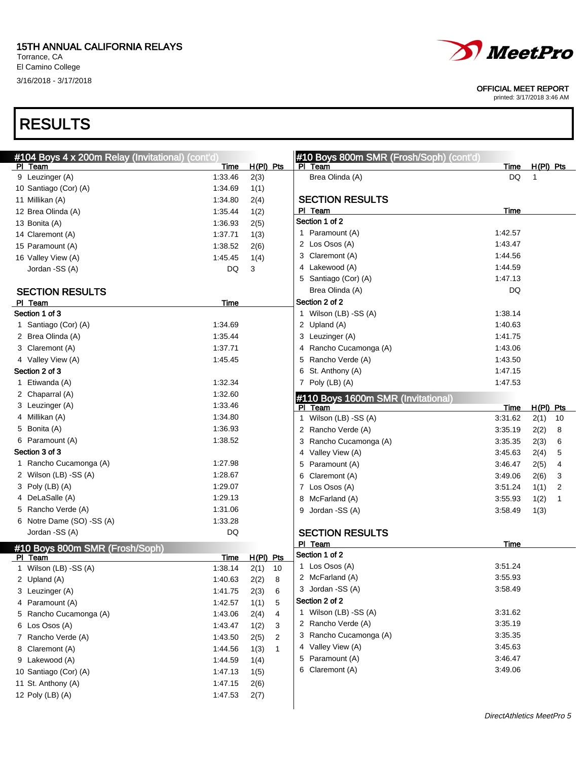El Camino College 3/16/2018 - 3/17/2018





#### OFFICIAL MEET REPORT

| #104 Boys 4 x 200m Relay (Invitational) (cont'd) |             |                      | #10 Boys 800m SMR (Frosh/Soph) (cont'd) |           |             |    |
|--------------------------------------------------|-------------|----------------------|-----------------------------------------|-----------|-------------|----|
| PI Team                                          | Time        | $H(PI)$ Pts          | PI Team                                 | Time      | $H(PI)$ Pts |    |
| 9 Leuzinger (A)                                  | 1:33.46     | 2(3)                 | Brea Olinda (A)                         | <b>DQ</b> | 1           |    |
| 10 Santiago (Cor) (A)                            | 1:34.69     | 1(1)                 |                                         |           |             |    |
| 11 Millikan (A)                                  | 1:34.80     | 2(4)                 | <b>SECTION RESULTS</b>                  |           |             |    |
| 12 Brea Olinda (A)                               | 1:35.44     | 1(2)                 | PI Team                                 | Time      |             |    |
| 13 Bonita (A)                                    | 1:36.93     | 2(5)                 | Section 1 of 2                          |           |             |    |
| 14 Claremont (A)                                 | 1:37.71     | 1(3)                 | 1 Paramount (A)                         | 1:42.57   |             |    |
| 15 Paramount (A)                                 | 1:38.52     | 2(6)                 | 2 Los Osos (A)                          | 1:43.47   |             |    |
| 16 Valley View (A)                               | 1:45.45     | 1(4)                 | 3 Claremont (A)                         | 1:44.56   |             |    |
| Jordan -SS (A)                                   | <b>DQ</b>   | 3                    | 4 Lakewood (A)                          | 1:44.59   |             |    |
|                                                  |             |                      | 5 Santiago (Cor) (A)                    | 1:47.13   |             |    |
| <b>SECTION RESULTS</b>                           |             |                      | Brea Olinda (A)                         | DQ        |             |    |
| PI Team                                          | Time        |                      | Section 2 of 2                          |           |             |    |
| Section 1 of 3                                   |             |                      | 1 Wilson (LB) -SS (A)                   | 1:38.14   |             |    |
| 1 Santiago (Cor) (A)                             | 1:34.69     |                      | 2 Upland (A)                            | 1:40.63   |             |    |
| 2 Brea Olinda (A)                                | 1:35.44     |                      | 3 Leuzinger (A)                         | 1:41.75   |             |    |
| 3 Claremont (A)                                  | 1:37.71     |                      | 4 Rancho Cucamonga (A)                  | 1:43.06   |             |    |
| 4 Valley View (A)                                | 1:45.45     |                      | 5 Rancho Verde (A)                      | 1:43.50   |             |    |
| Section 2 of 3                                   |             |                      | 6 St. Anthony (A)                       | 1:47.15   |             |    |
| 1 Etiwanda (A)                                   | 1:32.34     |                      | 7 Poly (LB) (A)                         | 1:47.53   |             |    |
| 2 Chaparral (A)                                  | 1:32.60     |                      | #110 Boys 1600m SMR (Invitational)      |           |             |    |
| 3 Leuzinger (A)                                  | 1:33.46     |                      | PI Team                                 | Time      | $H(PI)$ Pts |    |
| 4 Millikan (A)                                   | 1:34.80     |                      | 1 Wilson (LB) -SS (A)                   | 3:31.62   | 2(1)        | 10 |
| 5 Bonita (A)                                     | 1:36.93     |                      | 2 Rancho Verde (A)                      | 3:35.19   | 2(2)        | 8  |
| 6 Paramount (A)                                  | 1:38.52     |                      | 3 Rancho Cucamonga (A)                  | 3:35.35   | 2(3)        | 6  |
| Section 3 of 3                                   |             |                      | 4 Valley View (A)                       | 3:45.63   | 2(4)        | 5  |
| 1 Rancho Cucamonga (A)                           | 1:27.98     |                      | 5 Paramount (A)                         | 3:46.47   | 2(5)        | 4  |
| 2 Wilson (LB) -SS (A)                            | 1:28.67     |                      | Claremont (A)<br>6                      | 3:49.06   | 2(6)        | 3  |
| 3 Poly (LB) (A)                                  | 1:29.07     |                      | 7 Los Osos (A)                          | 3:51.24   | 1(1)        | 2  |
| 4 DeLaSalle (A)                                  | 1:29.13     |                      | 8 McFarland (A)                         | 3:55.93   | 1(2)        | 1  |
| 5 Rancho Verde (A)                               | 1:31.06     |                      | Jordan -SS (A)<br>9                     | 3:58.49   | 1(3)        |    |
| 6 Notre Dame (SO) -SS (A)                        | 1:33.28     |                      |                                         |           |             |    |
| Jordan -SS (A)                                   | <b>DQ</b>   |                      | <b>SECTION RESULTS</b>                  |           |             |    |
|                                                  |             |                      | PI Team                                 | Time      |             |    |
| #10 Boys 800m SMR (Frosh/Soph)<br>PI Team        | <b>Time</b> | H(PI) Pts            | Section 1 of 2                          |           |             |    |
| 1 Wilson (LB) -SS (A)                            | 1:38.14     | 2(1)<br>10           | 1 Los Osos (A)                          | 3:51.24   |             |    |
| 2 Upland (A)                                     | 1:40.63     | 2(2)<br>8            | 2 McFarland (A)                         | 3:55.93   |             |    |
| 3 Leuzinger (A)                                  | 1:41.75     | 2(3)<br>6            | 3 Jordan - SS (A)                       | 3:58.49   |             |    |
| 4 Paramount (A)                                  | 1:42.57     | 1(1)<br>5            | Section 2 of 2                          |           |             |    |
| 5 Rancho Cucamonga (A)                           | 1:43.06     | 2(4)<br>4            | 1 Wilson (LB) -SS (A)                   | 3:31.62   |             |    |
| 6 Los Osos (A)                                   | 1:43.47     | 1(2)<br>3            | 2 Rancho Verde (A)                      | 3:35.19   |             |    |
| 7 Rancho Verde (A)                               | 1:43.50     | 2(5)<br>2            | 3 Rancho Cucamonga (A)                  | 3:35.35   |             |    |
| 8 Claremont (A)                                  | 1:44.56     | 1(3)<br>$\mathbf{1}$ | 4 Valley View (A)                       | 3:45.63   |             |    |
| 9 Lakewood (A)                                   | 1:44.59     | 1(4)                 | 5 Paramount (A)                         | 3:46.47   |             |    |
| 10 Santiago (Cor) (A)                            | 1:47.13     | 1(5)                 | 6 Claremont (A)                         | 3:49.06   |             |    |
| 11 St. Anthony (A)                               | 1:47.15     | 2(6)                 |                                         |           |             |    |
| 12 Poly (LB) (A)                                 | 1:47.53     | 2(7)                 |                                         |           |             |    |
|                                                  |             |                      |                                         |           |             |    |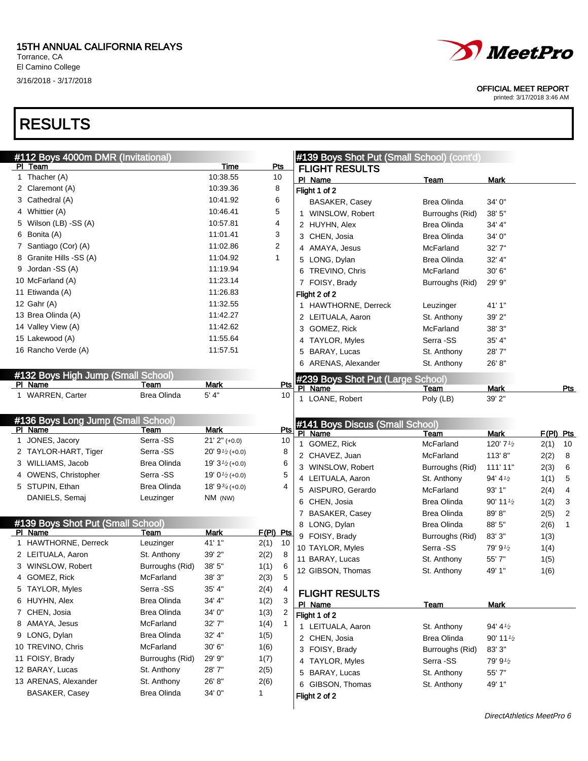

3/16/2018 - 3/17/2018



OFFICIAL MEET REPORT

| #112 Boys 4000m DMR (Invitational) |                    |                                            |              |              | #139 Boys Shot Put (Small School) (cont'd)   |                    |                        |           |            |
|------------------------------------|--------------------|--------------------------------------------|--------------|--------------|----------------------------------------------|--------------------|------------------------|-----------|------------|
| PI Team                            |                    | Time                                       | <u>Pts</u>   |              | <b>FLIGHT RESULTS</b>                        |                    |                        |           |            |
| 1 Thacher (A)                      |                    | 10:38.55                                   | 10           |              | PI Name                                      | <b>Team</b>        | <b>Mark</b>            |           |            |
| 2 Claremont (A)                    |                    | 10:39.36                                   | 8            |              | Flight 1 of 2                                |                    |                        |           |            |
| 3 Cathedral (A)                    |                    | 10:41.92                                   | 6            |              | BASAKER, Casey                               | Brea Olinda        | 34' 0"                 |           |            |
| 4 Whittier (A)                     |                    | 10:46.41                                   | 5            |              | 1 WINSLOW, Robert                            | Burroughs (Rid)    | 38'5''                 |           |            |
| 5 Wilson (LB) -SS (A)              |                    | 10:57.81                                   | 4            |              | 2 HUYHN, Alex                                | Brea Olinda        | 34' 4"                 |           |            |
| 6 Bonita (A)                       |                    | 11:01.41                                   | 3            |              | 3 CHEN, Josia                                | <b>Brea Olinda</b> | 34' 0"                 |           |            |
| 7 Santiago (Cor) (A)               |                    | 11:02.86                                   | 2            |              | 4 AMAYA, Jesus                               | McFarland          | 32' 7"                 |           |            |
| 8 Granite Hills -SS (A)            |                    | 11:04.92                                   | $\mathbf{1}$ |              | 5 LONG, Dylan                                | <b>Brea Olinda</b> | 32' 4"                 |           |            |
| 9 Jordan - SS (A)                  |                    | 11:19.94                                   |              |              | 6 TREVINO, Chris                             | McFarland          | 30'6''                 |           |            |
| 10 McFarland (A)                   |                    | 11:23.14                                   |              |              | 7 FOISY, Brady                               | Burroughs (Rid)    | 29' 9"                 |           |            |
| 11 Etiwanda (A)                    |                    | 11:26.83                                   |              |              | Flight 2 of 2                                |                    |                        |           |            |
| 12 Gahr (A)                        |                    | 11:32.55                                   |              |              | 1 HAWTHORNE, Derreck                         | Leuzinger          | 41' 1"                 |           |            |
| 13 Brea Olinda (A)                 |                    | 11:42.27                                   |              |              | 2 LEITUALA, Aaron                            | St. Anthony        | 39' 2"                 |           |            |
| 14 Valley View (A)                 |                    | 11:42.62                                   |              |              | 3 GOMEZ, Rick                                | McFarland          | 38' 3"                 |           |            |
| 15 Lakewood (A)                    |                    | 11:55.64                                   |              |              | 4 TAYLOR, Myles                              | Serra -SS          | 35' 4"                 |           |            |
| 16 Rancho Verde (A)                |                    | 11:57.51                                   |              |              | 5 BARAY, Lucas                               | St. Anthony        | 28'7"                  |           |            |
|                                    |                    |                                            |              |              | 6 ARENAS, Alexander                          | St. Anthony        | 26' 8"                 |           |            |
| #132 Boys High Jump (Small School) |                    |                                            |              |              |                                              |                    |                        |           |            |
| PI Name                            | Team               | <b>Mark</b>                                | Pts          |              | #239 Boys Shot Put (Large School)<br>PI Name | Team               | Mark                   |           | <u>Pts</u> |
| 1 WARREN, Carter                   | Brea Olinda        | 5' 4"                                      | 10           |              | 1 LOANE, Robert                              | Poly (LB)          | 39' 2"                 |           |            |
|                                    |                    |                                            |              |              |                                              |                    |                        |           |            |
| #136 Boys Long Jump (Small School) |                    |                                            |              |              | #141 Boys Discus (Small School)              |                    |                        |           |            |
| PI Name                            | Team               | <b>Mark</b>                                | Pts          |              | PI Name                                      | <b>Team</b>        | <b>Mark</b>            | F(PI) Pts |            |
| 1 JONES, Jacory                    | Serra -SS          | $21'$ $2''$ (+0.0)                         | 10           |              | 1 GOMEZ, Rick                                | McFarland          | 120' 71/2              | 2(1)      | 10         |
| 2 TAYLOR-HART, Tiger               | Serra -SS          | $20'$ 9 <sup>1</sup> / <sub>2</sub> (+0.0) | 8            |              | 2 CHAVEZ, Juan                               | McFarland          | 113'8"                 | 2(2)      | 8          |
| 3 WILLIAMS, Jacob                  | Brea Olinda        | 19' $3\frac{1}{2}$ (+0.0)                  |              | 6            | 3 WINSLOW, Robert                            | Burroughs (Rid)    | 111' 11"               | 2(3)      | 6          |
| 4 OWENS, Christopher               | Serra -SS          | 19' $0\frac{1}{2}$ (+0.0)                  | 5            |              | 4 LEITUALA, Aaron                            | St. Anthony        | 94' 41/2               | 1(1)      | 5          |
| 5 STUPIN, Ethan                    | Brea Olinda        | 18' $9\frac{3}{4}(+0.0)$                   |              | 4            | 5 AISPURO, Gerardo                           | McFarland          | 93' 1"                 | 2(4)      | 4          |
| DANIELS, Semaj                     | Leuzinger          | NM (NW)                                    |              |              | 6 CHEN, Josia                                | Brea Olinda        | $90'$ 11 $\frac{1}{2}$ | 1(2)      | 3          |
|                                    |                    |                                            |              |              | 7 BASAKER, Casey                             | Brea Olinda        | 89'8"                  | 2(5)      | 2          |
| #139 Boys Shot Put (Small School)  |                    |                                            |              |              | 8 LONG, Dylan                                | Brea Olinda        | 88' 5"                 | 2(6)      | 1          |
| PI Name                            | Team               | <b>Mark</b>                                | F(PI) Pts    |              | 9 FOISY, Brady                               | Burroughs (Rid)    | 83'3''                 | 1(3)      |            |
| 1 HAWTHORNE, Derreck               | Leuzinger          | 41' 1"                                     | 2(1)<br>10   |              | 10 TAYLOR, Myles                             | Serra -SS          | 79' 91/2               | 1(4)      |            |
| 2 LEITUALA, Aaron                  | St. Anthony        | 39' 2"                                     | 2(2)<br>8    |              | 11 BARAY, Lucas                              | St. Anthony        | 55'7"                  | 1(5)      |            |
| 3 WINSLOW, Robert                  | Burroughs (Rid)    | 38' 5"                                     | 1(1)<br>6    |              | 12 GIBSON, Thomas                            | St. Anthony        | 49' 1"                 | 1(6)      |            |
| 4 GOMEZ, Rick                      | McFarland          | 38' 3"                                     | 2(3)         | 5            |                                              |                    |                        |           |            |
| 5 TAYLOR, Myles                    | Serra -SS          | 35' 4"                                     | 2(4)<br>4    |              | <b>FLIGHT RESULTS</b>                        |                    |                        |           |            |
| 6 HUYHN, Alex                      | <b>Brea Olinda</b> | 34' 4"                                     | 3<br>1(2)    |              | PI Name                                      | <b>Team</b>        | <b>Mark</b>            |           |            |
| 7 CHEN, Josia                      | Brea Olinda        | 34' 0"                                     | 1(3)<br>2    |              | Flight 1 of 2                                |                    |                        |           |            |
| 8 AMAYA, Jesus                     | McFarland          | 32' 7"                                     | 1(4)         | $\mathbf{1}$ | 1 LEITUALA, Aaron                            | St. Anthony        | 94' 41/2               |           |            |
| 9 LONG, Dylan                      | <b>Brea Olinda</b> | 32' 4"                                     | 1(5)         |              | 2 CHEN, Josia                                | <b>Brea Olinda</b> | $90'$ 11 $\frac{1}{2}$ |           |            |
| 10 TREVINO, Chris                  | McFarland          | 30' 6"                                     | 1(6)         |              | 3 FOISY, Brady                               | Burroughs (Rid)    | 83' 3"                 |           |            |
| 11 FOISY, Brady                    | Burroughs (Rid)    | 29' 9"                                     | 1(7)         |              | 4 TAYLOR, Myles                              | Serra -SS          | 79' 91/2               |           |            |
| 12 BARAY, Lucas                    | St. Anthony        | 28'7"                                      | 2(5)         |              | 5 BARAY, Lucas                               | St. Anthony        | 55' 7"                 |           |            |
| 13 ARENAS, Alexander               | St. Anthony        | 26' 8"                                     | 2(6)         |              | 6 GIBSON, Thomas                             | St. Anthony        | 49' 1"                 |           |            |
| BASAKER, Casey                     | <b>Brea Olinda</b> | 34' 0"                                     | 1            |              | Flight 2 of 2                                |                    |                        |           |            |
|                                    |                    |                                            |              |              |                                              |                    |                        |           |            |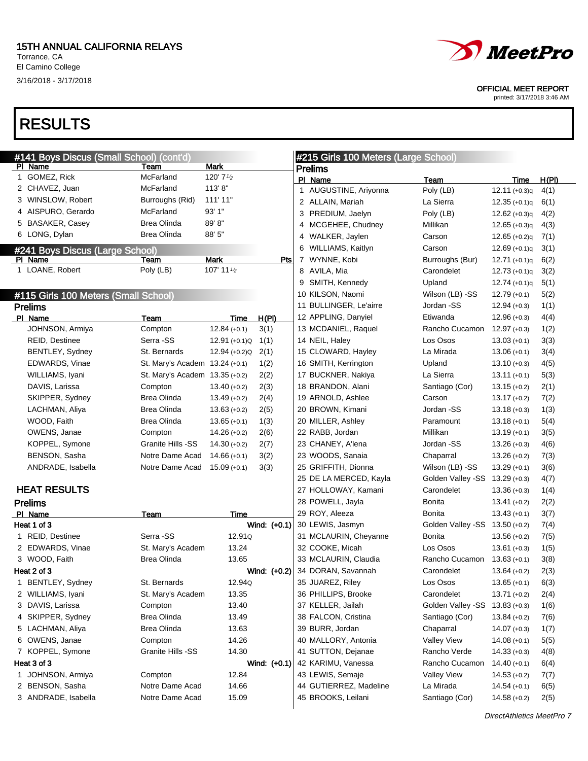El Camino College 3/16/2018 - 3/17/2018

### RESULTS



OFFICIAL MEET REPORT

| #141 Boys Discus (Small School) (cont'd) |                                |                 |              |              | #215 Girls 100 Meters (Large School) |                                |                 |       |
|------------------------------------------|--------------------------------|-----------------|--------------|--------------|--------------------------------------|--------------------------------|-----------------|-------|
| PI Name                                  | Team                           | Mark            |              |              | <b>Prelims</b>                       |                                |                 |       |
| 1 GOMEZ, Rick                            | McFarland                      | 120' 71/2       |              |              | PI Name                              | Team                           | <b>Time</b>     | H(PI) |
| 2 CHAVEZ, Juan                           | McFarland                      | 113'8"          |              |              | 1 AUGUSTINE, Ariyonna                | Poly (LB)                      | $12.11 (+0.3)q$ | 4(1)  |
| 3 WINSLOW, Robert                        | Burroughs (Rid)                | 111' 11"        |              |              | 2 ALLAIN, Mariah                     | La Sierra                      | $12.35 (+0.1)q$ | 6(1)  |
| 4 AISPURO, Gerardo                       | McFarland                      | 93' 1"          |              |              | 3 PREDIUM, Jaelyn                    | Poly (LB)                      | $12.62 (+0.3)q$ | 4(2)  |
| 5 BASAKER, Casey                         | <b>Brea Olinda</b>             | 89'8"           |              |              | 4 MCGEHEE, Chudney                   | Millikan                       | $12.65 (+0.3)q$ | 4(3)  |
| 6 LONG, Dylan                            | <b>Brea Olinda</b>             | 88' 5"          |              |              | 4 WALKER, Jaylen                     | Carson                         | $12.65 (+0.2)q$ | 7(1)  |
| #241 Boys Discus (Large School)          |                                |                 |              |              | 6 WILLIAMS, Kaitlyn                  | Carson                         | $12.69 (+0.1)q$ | 3(1)  |
| PI Name                                  | Team                           | <b>Mark</b>     | Pts          | $\mathbf{7}$ | WYNNE, Kobi                          | Burroughs (Bur)                | $12.71 (+0.1)q$ | 6(2)  |
| 1 LOANE, Robert                          | Poly (LB)                      | 107' 11 1/2     |              |              | 8 AVILA, Mia                         | Carondelet                     | $12.73 (+0.1)q$ | 3(2)  |
|                                          |                                |                 |              |              | 9 SMITH, Kennedy                     | Upland                         | $12.74 (+0.1)q$ | 5(1)  |
| #115 Girls 100 Meters (Small School)     |                                |                 |              |              | 10 KILSON, Naomi                     | Wilson (LB) -SS                | $12.79 (+0.1)$  | 5(2)  |
| <b>Prelims</b>                           |                                |                 |              |              | 11 BULLINGER, Le'airre               | Jordan -SS                     | $12.94 (+0.3)$  | 1(1)  |
| PI Name                                  | Team                           | Time            | H(PI)        |              | 12 APPLING, Danyiel                  | Etiwanda                       | $12.96 (+0.3)$  | 4(4)  |
| JOHNSON, Armiya                          | Compton                        | $12.84 (+0.1)$  | 3(1)         |              | 13 MCDANIEL, Raquel                  | Rancho Cucamon                 | $12.97 (+0.3)$  | 1(2)  |
| <b>REID, Destinee</b>                    | Serra -SS                      | $12.91 (+0.1)Q$ | 1(1)         |              | 14 NEIL, Haley                       | Los Osos                       | $13.03 (+0.1)$  | 3(3)  |
| BENTLEY, Sydney                          | St. Bernards                   | $12.94 (+0.2)Q$ | 2(1)         |              | 15 CLOWARD, Hayley                   | La Mirada                      | $13.06 (+0.1)$  | 3(4)  |
| EDWARDS, Vinae                           | St. Mary's Academ 13.24 (+0.1) |                 | 1(2)         |              | 16 SMITH, Kerrington                 | Upland                         | $13.10 (+0.3)$  | 4(5)  |
| WILLIAMS, Iyani                          | St. Mary's Academ 13.35 (+0.2) |                 | 2(2)         |              | 17 BUCKNER, Nakiya                   | La Sierra                      | $13.11 (+0.1)$  | 5(3)  |
| DAVIS, Larissa                           | Compton                        | $13.40 (+0.2)$  | 2(3)         |              | 18 BRANDON, Alani                    | Santiago (Cor)                 | $13.15 (+0.2)$  | 2(1)  |
| SKIPPER, Sydney                          | Brea Olinda                    | $13.49 (+0.2)$  | 2(4)         |              | 19 ARNOLD, Ashlee                    | Carson                         | $13.17 (+0.2)$  | 7(2)  |
| LACHMAN, Aliya                           | Brea Olinda                    | $13.63 (+0.2)$  | 2(5)         |              | 20 BROWN, Kimani                     | Jordan -SS                     | $13.18 (+0.3)$  | 1(3)  |
|                                          | <b>Brea Olinda</b>             |                 |              |              |                                      | Paramount                      |                 |       |
| WOOD, Faith                              |                                | $13.65 (+0.1)$  | 1(3)         |              | 20 MILLER, Ashley                    |                                | $13.18 (+0.1)$  | 5(4)  |
| OWENS, Janae                             | Compton                        | $14.26 (+0.2)$  | 2(6)         |              | 22 RABB, Jordan                      | Millikan                       | $13.19 (+0.1)$  | 3(5)  |
| KOPPEL, Symone                           | Granite Hills -SS              | $14.30 (+0.2)$  | 2(7)         |              | 23 CHANEY, A'lena                    | Jordan -SS                     | $13.26 (+0.3)$  | 4(6)  |
| BENSON, Sasha                            | Notre Dame Acad                | $14.66 (+0.1)$  | 3(2)         |              | 23 WOODS, Sanaia                     | Chaparral                      | $13.26 (+0.2)$  | 7(3)  |
| ANDRADE, Isabella                        | Notre Dame Acad                | $15.09$ (+0.1)  | 3(3)         |              | 25 GRIFFITH, Dionna                  | Wilson (LB) -SS                | $13.29 (+0.1)$  | 3(6)  |
|                                          |                                |                 |              |              | 25 DE LA MERCED, Kayla               | Golden Valley -SS 13.29 (+0.3) |                 | 4(7)  |
| <b>HEAT RESULTS</b>                      |                                |                 |              |              | 27 HOLLOWAY, Kamani                  | Carondelet                     | $13.36 (+0.3)$  | 1(4)  |
| <b>Prelims</b>                           |                                |                 |              |              | 28 POWELL, Jayla                     | Bonita                         | $13.41 (+0.2)$  | 2(2)  |
| PI Name                                  | Team                           | Time            |              |              | 29 ROY, Aleeza                       | Bonita                         | $13.43 (+0.1)$  | 3(7)  |
| Heat 1 of 3                              |                                |                 | Wind: (+0.1) |              | 30 LEWIS, Jasmyn                     | Golden Valley -SS 13.50 (+0.2) |                 | 7(4)  |
| 1 REID, Destinee                         | Serra -SS                      | 12.91Q          |              |              | 31 MCLAURIN, Cheyanne                | Bonita                         | $13.56 (+0.2)$  | 7(5)  |
| 2 EDWARDS, Vinae                         | St. Mary's Academ              | 13.24           |              |              | 32 COOKE, Micah                      | Los Osos                       | $13.61 (+0.3)$  | 1(5)  |
| 3 WOOD, Faith                            | <b>Brea Olinda</b>             | 13.65           |              |              | 33 MCLAURIN, Claudia                 | Rancho Cucamon                 | $13.63 (+0.1)$  | 3(8)  |
| Heat 2 of 3                              |                                |                 | Wind: (+0.2) |              | 34 DORAN, Savannah                   | Carondelet                     | $13.64 (+0.2)$  | 2(3)  |
| 1 BENTLEY, Sydney                        | St. Bernards                   | 12.94Q          |              |              | 35 JUAREZ, Riley                     | Los Osos                       | $13.65 (+0.1)$  | 6(3)  |
| 2 WILLIAMS, Iyani                        | St. Mary's Academ              | 13.35           |              |              | 36 PHILLIPS, Brooke                  | Carondelet                     | $13.71 (+0.2)$  | 2(4)  |
| 3 DAVIS, Larissa                         | Compton                        | 13.40           |              |              | 37 KELLER, Jailah                    | Golden Valley -SS              | $13.83 (+0.3)$  | 1(6)  |
| 4 SKIPPER, Sydney                        | Brea Olinda                    | 13.49           |              |              | 38 FALCON, Cristina                  | Santiago (Cor)                 | $13.84 (+0.2)$  | 7(6)  |
| 5 LACHMAN, Aliya                         | Brea Olinda                    | 13.63           |              |              | 39 BURR, Jordan                      | Chaparral                      | $14.07 (+0.3)$  | 1(7)  |
| 6 OWENS, Janae                           | Compton                        | 14.26           |              |              | 40 MALLORY, Antonia                  | <b>Valley View</b>             | $14.08 (+0.1)$  | 5(5)  |
| 7 KOPPEL, Symone                         | Granite Hills -SS              | 14.30           |              |              | 41 SUTTON, Dejanae                   | Rancho Verde                   | $14.33 (+0.3)$  | 4(8)  |
| Heat 3 of 3                              |                                |                 | Wind: (+0.1) |              | 42 KARIMU, Vanessa                   | Rancho Cucamon                 | $14.40 (+0.1)$  | 6(4)  |
| 1 JOHNSON, Armiya                        | Compton                        | 12.84           |              |              | 43 LEWIS, Semaje                     | <b>Valley View</b>             | $14.53 (+0.2)$  | 7(7)  |
| 2 BENSON, Sasha                          | Notre Dame Acad                | 14.66           |              |              | 44 GUTIERREZ, Madeline               | La Mirada                      | $14.54(+0.1)$   | 6(5)  |
| 3 ANDRADE, Isabella                      | Notre Dame Acad                | 15.09           |              |              | 45 BROOKS, Leilani                   | Santiago (Cor)                 | $14.58 (+0.2)$  | 2(5)  |
|                                          |                                |                 |              |              |                                      |                                |                 |       |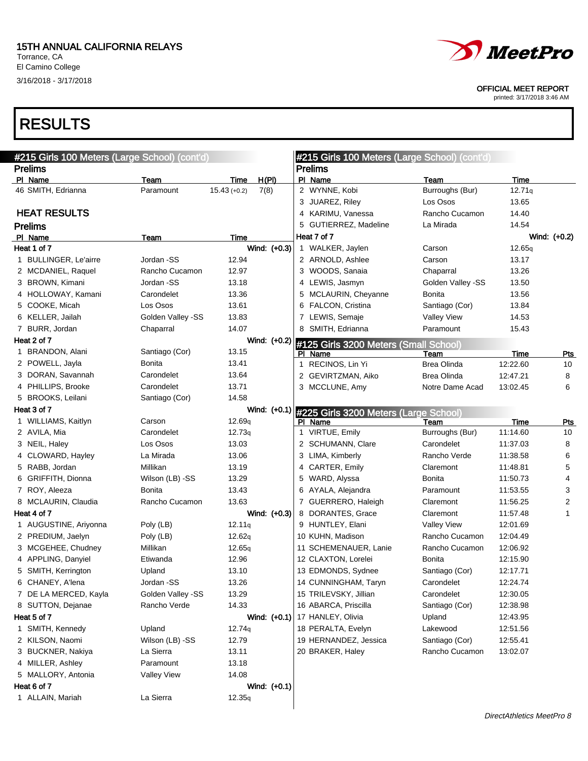El Camino College 3/16/2018 - 3/17/2018



OFFICIAL MEET REPORT

printed: 3/17/2018 3:46 AM

| #215 Girls 100 Meters (Large School) (cont'd) |                    |                    |                | #215 Girls 100 Meters (Large School) (cont'd)      |                    |          |                |
|-----------------------------------------------|--------------------|--------------------|----------------|----------------------------------------------------|--------------------|----------|----------------|
| <b>Prelims</b>                                |                    |                    |                | <b>Prelims</b>                                     |                    |          |                |
| PI Name                                       | Team               | Time               | H(PI)          | PI Name                                            | <b>Team</b>        | Time     |                |
| 46 SMITH, Edrianna                            | Paramount          | $15.43 (+0.2)$     | 7(8)           | 2 WYNNE, Kobi                                      | Burroughs (Bur)    | 12.71q   |                |
|                                               |                    |                    |                | 3 JUAREZ, Riley                                    | Los Osos           | 13.65    |                |
| <b>HEAT RESULTS</b>                           |                    |                    |                | 4 KARIMU, Vanessa                                  | Rancho Cucamon     | 14.40    |                |
| <b>Prelims</b>                                |                    |                    |                | 5 GUTIERREZ, Madeline                              | La Mirada          | 14.54    |                |
| PI Name                                       | Team               | Time               |                | Heat 7 of 7                                        |                    |          | Wind: (+0.2)   |
| Heat 1 of 7                                   |                    |                    | Wind: (+0.3)   | 1 WALKER, Jaylen                                   | Carson             | 12.65q   |                |
| 1 BULLINGER, Le'airre                         | Jordan -SS         | 12.94              |                | 2 ARNOLD, Ashlee                                   | Carson             | 13.17    |                |
| 2 MCDANIEL, Raquel                            | Rancho Cucamon     | 12.97              |                | 3 WOODS, Sanaia                                    | Chaparral          | 13.26    |                |
| 3 BROWN, Kimani                               | Jordan -SS         | 13.18              |                | 4 LEWIS, Jasmyn                                    | Golden Valley -SS  | 13.50    |                |
| 4 HOLLOWAY, Kamani                            | Carondelet         | 13.36              |                | 5 MCLAURIN, Cheyanne                               | Bonita             | 13.56    |                |
| 5 COOKE, Micah                                | Los Osos           | 13.61              |                | 6 FALCON, Cristina                                 | Santiago (Cor)     | 13.84    |                |
| 6 KELLER, Jailah                              | Golden Valley -SS  | 13.83              |                | 7 LEWIS, Semaje                                    | <b>Valley View</b> | 14.53    |                |
| 7 BURR, Jordan                                | Chaparral          | 14.07              |                | 8 SMITH, Edrianna                                  | Paramount          | 15.43    |                |
| Heat 2 of 7                                   |                    |                    | Wind: (+0.2)   | #125 Girls 3200 Meters (Small School)              |                    |          |                |
| 1 BRANDON, Alani                              | Santiago (Cor)     | 13.15              |                | PI Name                                            | <u>Team</u>        | Time     | <u>Pts</u>     |
| 2 POWELL, Jayla                               | Bonita             | 13.41              |                | 1 RECINOS, Lin Yi                                  | <b>Brea Olinda</b> | 12:22.60 | 10             |
| 3 DORAN, Savannah                             | Carondelet         | 13.64              |                | 2 GEVIRTZMAN, Aiko                                 | <b>Brea Olinda</b> | 12:47.21 | 8              |
| 4 PHILLIPS, Brooke                            | Carondelet         | 13.71              |                | 3 MCCLUNE, Amy                                     | Notre Dame Acad    | 13:02.45 | 6              |
| 5 BROOKS, Leilani                             | Santiago (Cor)     | 14.58              |                |                                                    |                    |          |                |
| Heat 3 of 7                                   |                    |                    |                | Wind: (+0.1) #225 Girls 3200 Meters (Large School) |                    |          |                |
| 1 WILLIAMS, Kaitlyn                           | Carson             | 12.69 <sub>q</sub> |                | PI Name                                            | Team               | Time     | <b>Pts</b>     |
| 2 AVILA, Mia                                  | Carondelet         | 12.73q             |                | 1 VIRTUE, Emily                                    | Burroughs (Bur)    | 11:14.60 | 10             |
| 3 NEIL, Haley                                 | Los Osos           | 13.03              |                | 2 SCHUMANN, Clare                                  | Carondelet         | 11:37.03 | 8              |
| 4 CLOWARD, Hayley                             | La Mirada          | 13.06              |                | 3 LIMA, Kimberly                                   | Rancho Verde       | 11:38.58 | 6              |
| 5 RABB, Jordan                                | Millikan           | 13.19              |                | 4 CARTER, Emily                                    | Claremont          | 11:48.81 | 5              |
| 6 GRIFFITH, Dionna                            | Wilson (LB) -SS    | 13.29              |                | 5 WARD, Alyssa                                     | <b>Bonita</b>      | 11:50.73 | 4              |
| 7 ROY, Aleeza                                 | Bonita             | 13.43              |                | 6 AYALA, Alejandra                                 | Paramount          | 11:53.55 | 3              |
| 8 MCLAURIN, Claudia                           | Rancho Cucamon     | 13.63              |                | 7 GUERRERO, Haleigh                                | Claremont          | 11:56.25 | $\overline{c}$ |
| Heat 4 of 7                                   |                    |                    | Wind: (+0.3)   | 8 DORANTES, Grace                                  | Claremont          | 11:57.48 | 1              |
| 1 AUGUSTINE, Ariyonna                         | Poly (LB)          | 12.11q             |                | 9 HUNTLEY, Elani                                   | Valley View        | 12:01.69 |                |
| 2 PREDIUM, Jaelyn                             | Poly (LB)          | 12.62q             |                | 10 KUHN, Madison                                   | Rancho Cucamon     | 12:04.49 |                |
| 3 MCGEHEE, Chudney                            | Millikan           | 12.65q             |                | 11 SCHEMENAUER, Lanie                              | Rancho Cucamon     | 12:06.92 |                |
| 4 APPLING, Danyiel                            | Etiwanda           | 12.96              |                | 12 CLAXTON, Lorelei                                | Bonita             | 12:15.90 |                |
| 5 SMITH, Kerrington                           | Upland             | 13.10              |                | 13 EDMONDS, Sydnee                                 | Santiago (Cor)     | 12:17.71 |                |
| 6 CHANEY, A'lena                              | Jordan -SS         | 13.26              |                | 14 CUNNINGHAM, Taryn                               | Carondelet         | 12:24.74 |                |
| 7 DE LA MERCED, Kayla                         | Golden Valley -SS  | 13.29              |                | 15 TRILEVSKY, Jillian                              | Carondelet         | 12:30.05 |                |
| 8 SUTTON, Dejanae                             | Rancho Verde       | 14.33              |                | 16 ABARCA, Priscilla                               | Santiago (Cor)     | 12:38.98 |                |
| Heat 5 of 7                                   |                    |                    | Wind: $(+0.1)$ | 17 HANLEY, Olivia                                  | Upland             | 12:43.95 |                |
| 1 SMITH, Kennedy                              | Upland             | 12.74q             |                | 18 PERALTA, Evelyn                                 | Lakewood           | 12:51.56 |                |
| 2 KILSON, Naomi                               | Wilson (LB) -SS    | 12.79              |                | 19 HERNANDEZ, Jessica                              | Santiago (Cor)     | 12:55.41 |                |
| 3 BUCKNER, Nakiya                             | La Sierra          | 13.11              |                | 20 BRAKER, Haley                                   | Rancho Cucamon     | 13:02.07 |                |
| 4 MILLER, Ashley                              | Paramount          | 13.18              |                |                                                    |                    |          |                |
| 5 MALLORY, Antonia                            | <b>Valley View</b> | 14.08              |                |                                                    |                    |          |                |
| Heat 6 of 7                                   |                    |                    | Wind: (+0.1)   |                                                    |                    |          |                |
| 1 ALLAIN, Mariah                              | La Sierra          | 12.35q             |                |                                                    |                    |          |                |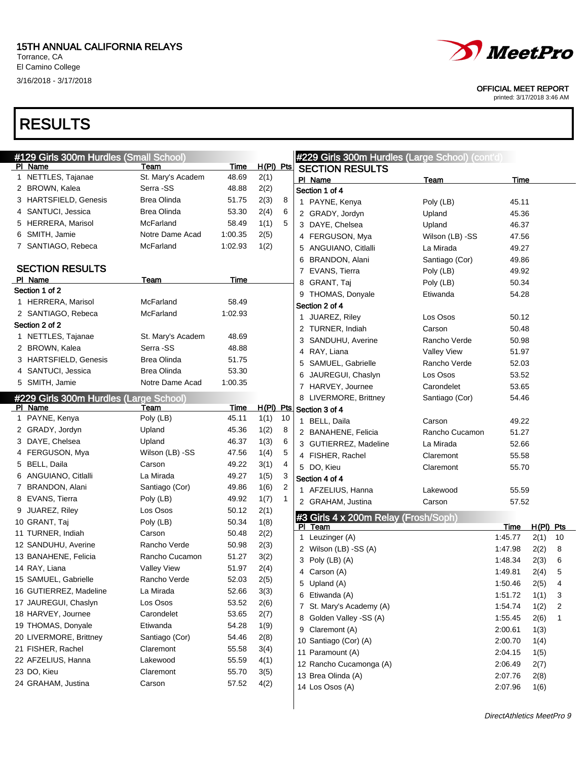3/16/2018 - 3/17/2018

### RESULTS



OFFICIAL MEET REPORT

| #129 Girls 300m Hurdles (Small School) |                    |             |                  |                |                | #229 Girls 300m Hurdles (Large School) (cont'd) |                    |                    |             |    |
|----------------------------------------|--------------------|-------------|------------------|----------------|----------------|-------------------------------------------------|--------------------|--------------------|-------------|----|
| PI Name                                | Team               | Time        | H(PI) Pts        |                |                | <b>SECTION RESULTS</b>                          |                    |                    |             |    |
| 1 NETTLES, Tajanae                     | St. Mary's Academ  | 48.69       | 2(1)             |                | PI Name        |                                                 | Team               | Time               |             |    |
| 2 BROWN, Kalea                         | Serra -SS          | 48.88       | 2(2)             |                | Section 1 of 4 |                                                 |                    |                    |             |    |
| 3 HARTSFIELD, Genesis                  | Brea Olinda        | 51.75       | 2(3)             | 8              |                | 1 PAYNE, Kenya                                  | Poly (LB)          | 45.11              |             |    |
| 4 SANTUCI, Jessica                     | <b>Brea Olinda</b> | 53.30       | 2(4)             | 6              |                | 2 GRADY, Jordyn                                 | Upland             | 45.36              |             |    |
| 5 HERRERA, Marisol                     | McFarland          | 58.49       | 1(1)             | 5              |                | 3 DAYE, Chelsea                                 | Upland             | 46.37              |             |    |
| 6 SMITH, Jamie                         | Notre Dame Acad    | 1:00.35     | 2(5)             |                |                | 4 FERGUSON, Mya                                 | Wilson (LB) -SS    | 47.56              |             |    |
| 7 SANTIAGO, Rebeca                     | McFarland          | 1:02.93     | 1(2)             |                |                | 5 ANGUIANO, Citlalli                            | La Mirada          | 49.27              |             |    |
|                                        |                    |             |                  |                |                | 6 BRANDON, Alani                                | Santiago (Cor)     | 49.86              |             |    |
| <b>SECTION RESULTS</b>                 |                    |             |                  |                |                | 7 EVANS, Tierra                                 | Poly (LB)          | 49.92              |             |    |
| PI Name                                | Team               | Time        |                  |                |                | 8 GRANT, Taj                                    | Poly (LB)          | 50.34              |             |    |
| Section 1 of 2                         |                    |             |                  |                |                | 9 THOMAS, Donyale                               | Etiwanda           | 54.28              |             |    |
| 1 HERRERA, Marisol                     | McFarland          | 58.49       |                  |                | Section 2 of 4 |                                                 |                    |                    |             |    |
| 2 SANTIAGO, Rebeca                     | McFarland          | 1:02.93     |                  |                |                | 1 JUAREZ, Riley                                 | Los Osos           | 50.12              |             |    |
| Section 2 of 2                         |                    |             |                  |                |                | 2 TURNER, Indiah                                | Carson             | 50.48              |             |    |
| 1 NETTLES, Tajanae                     | St. Mary's Academ  | 48.69       |                  |                |                | 3 SANDUHU, Averine                              | Rancho Verde       | 50.98              |             |    |
| 2 BROWN, Kalea                         | Serra -SS          | 48.88       |                  |                |                | 4 RAY, Liana                                    | <b>Valley View</b> | 51.97              |             |    |
| 3 HARTSFIELD, Genesis                  | Brea Olinda        | 51.75       |                  |                |                | 5 SAMUEL, Gabrielle                             | Rancho Verde       | 52.03              |             |    |
| 4 SANTUCI, Jessica                     | Brea Olinda        | 53.30       |                  |                | 6.             | JAUREGUI, Chaslyn                               | Los Osos           | 53.52              |             |    |
| 5 SMITH, Jamie                         | Notre Dame Acad    | 1:00.35     |                  |                |                | 7 HARVEY, Journee                               | Carondelet         | 53.65              |             |    |
| #229 Girls 300m Hurdles (Large School) |                    |             |                  |                |                | 8 LIVERMORE, Brittney                           | Santiago (Cor)     | 54.46              |             |    |
| PI Name                                | Team               | <b>Time</b> | <u>H(PI) Pts</u> |                | Section 3 of 4 |                                                 |                    |                    |             |    |
| 1 PAYNE, Kenya                         | Poly (LB)          | 45.11       | 1(1)             | 10             |                | 1 BELL, Daila                                   | Carson             | 49.22              |             |    |
| 2 GRADY, Jordyn                        | Upland             | 45.36       | 1(2)             | 8              |                | 2 BANAHENE, Felicia                             | Rancho Cucamon     | 51.27              |             |    |
| 3 DAYE, Chelsea                        | Upland             | 46.37       | 1(3)             | 6              |                | 3 GUTIERREZ, Madeline                           | La Mirada          | 52.66              |             |    |
| 4 FERGUSON, Mya                        | Wilson (LB) -SS    | 47.56       | 1(4)             | 5              |                | 4 FISHER, Rachel                                | Claremont          | 55.58              |             |    |
| 5 BELL, Daila                          | Carson             | 49.22       | 3(1)             | 4              | 5 DO, Kieu     |                                                 | Claremont          | 55.70              |             |    |
| 6 ANGUIANO, Citlalli                   | La Mirada          | 49.27       | 1(5)             | 3              | Section 4 of 4 |                                                 |                    |                    |             |    |
| 7 BRANDON, Alani                       | Santiago (Cor)     | 49.86       | 1(6)             | $\overline{c}$ |                | 1 AFZELIUS, Hanna                               | Lakewood           | 55.59              |             |    |
| 8 EVANS, Tierra                        | Poly (LB)          | 49.92       | 1(7)             | 1              |                | 2 GRAHAM, Justina                               | Carson             | 57.52              |             |    |
| 9 JUAREZ, Riley                        | Los Osos           | 50.12       | 2(1)             |                |                |                                                 |                    |                    |             |    |
| 10 GRANT, Taj                          | Poly (LB)          | 50.34       | 1(8)             |                | PI Team        | #3 Girls 4 x 200m Relay (Frosh/Soph)            |                    | Time               | $H(PI)$ Pts |    |
| 11 TURNER, Indiah                      | Carson             | 50.48       | 2(2)             |                |                | 1 Leuzinger (A)                                 |                    | 1:45.77            | 2(1)        | 10 |
| 12 SANDUHU, Averine                    | Rancho Verde       | 50.98       | 2(3)             |                |                | 2 Wilson (LB) -SS (A)                           |                    | 1:47.98            | 2(2)        | 8  |
| 13 BANAHENE, Felicia                   | Rancho Cucamon     | 51.27       | 3(2)             |                |                | 3 Poly (LB) (A)                                 |                    | 1:48.34            | 2(3)        | 6  |
| 14 RAY, Liana                          | <b>Valley View</b> | 51.97       | 2(4)             |                |                | 4 Carson (A)                                    |                    | 1:49.81            | 2(4)        | 5  |
| 15 SAMUEL, Gabrielle                   | Rancho Verde       | 52.03       | 2(5)             |                |                | 5 Upland (A)                                    |                    | 1:50.46            | 2(5)        | 4  |
| 16 GUTIERREZ, Madeline                 | La Mirada          | 52.66       | 3(3)             |                |                | 6 Etiwanda (A)                                  |                    | 1:51.72            | 1(1)        | 3  |
| 17 JAUREGUI, Chaslyn                   | Los Osos           | 53.52       | 2(6)             |                |                | 7 St. Mary's Academy (A)                        |                    | 1:54.74            | 1(2)        | 2  |
| 18 HARVEY, Journee                     | Carondelet         | 53.65       | 2(7)             |                |                |                                                 |                    |                    |             |    |
| 19 THOMAS, Donyale                     | Etiwanda           | 54.28       | 1(9)             |                |                | 8 Golden Valley -SS (A)                         |                    | 1:55.45<br>2:00.61 | 2(6)        | 1  |
| 20 LIVERMORE, Brittney                 | Santiago (Cor)     | 54.46       | 2(8)             |                |                | 9 Claremont (A)                                 |                    | 2:00.70            | 1(3)        |    |
| 21 FISHER, Rachel                      | Claremont          | 55.58       | 3(4)             |                |                | 10 Santiago (Cor) (A)                           |                    |                    | 1(4)        |    |
| 22 AFZELIUS, Hanna                     | Lakewood           | 55.59       | 4(1)             |                |                | 11 Paramount (A)                                |                    | 2:04.15            | 1(5)        |    |
| 23 DO, Kieu                            | Claremont          | 55.70       | 3(5)             |                |                | 12 Rancho Cucamonga (A)                         |                    | 2:06.49            | 2(7)        |    |
| 24 GRAHAM, Justina                     | Carson             | 57.52       | 4(2)             |                |                | 13 Brea Olinda (A)                              |                    | 2:07.76            | 2(8)        |    |
|                                        |                    |             |                  |                |                | 14 Los Osos (A)                                 |                    | 2:07.96            | 1(6)        |    |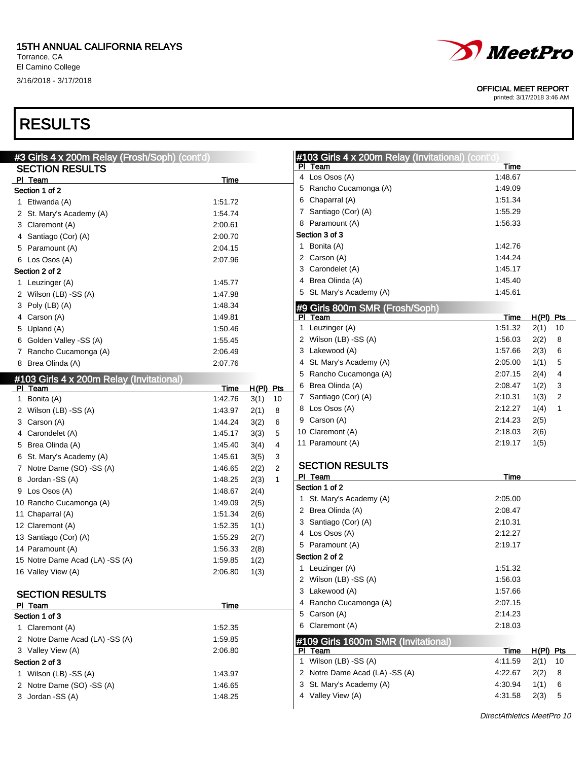#### 15TH ANNUAL CALIFORNIA RELAYS

Torrance, CA El Camino College 3/16/2018 - 3/17/2018

# *MeetPro*

OFFICIAL MEET REPORT

printed: 3/17/2018 3:46 AM

 $\overline{\phantom{a}}$ 

### RESULTS

| #3 Girls 4 x 200m Relay (Frosh/Soph) (cont'd) |         |                        | #103 Girls 4 x 200m Relay (Invitational) (cont'd) |         |                  |                |
|-----------------------------------------------|---------|------------------------|---------------------------------------------------|---------|------------------|----------------|
| <b>SECTION RESULTS</b>                        |         |                        | PI Team                                           | Time    |                  |                |
| PI Team                                       | Time    |                        | 4 Los Osos (A)                                    | 1:48.67 |                  |                |
| Section 1 of 2                                |         |                        | 5 Rancho Cucamonga (A)                            | 1:49.09 |                  |                |
| 1 Etiwanda (A)                                | 1:51.72 |                        | Chaparral (A)<br>6                                | 1:51.34 |                  |                |
| 2 St. Mary's Academy (A)                      | 1:54.74 |                        | 7 Santiago (Cor) (A)                              | 1:55.29 |                  |                |
| 3 Claremont (A)                               | 2:00.61 |                        | 8 Paramount (A)                                   | 1:56.33 |                  |                |
| 4 Santiago (Cor) (A)                          | 2:00.70 |                        | Section 3 of 3                                    |         |                  |                |
| 5 Paramount (A)                               | 2:04.15 |                        | 1 Bonita (A)                                      | 1:42.76 |                  |                |
| 6 Los Osos (A)                                | 2:07.96 |                        | 2 Carson (A)                                      | 1:44.24 |                  |                |
| Section 2 of 2                                |         |                        | 3 Carondelet (A)                                  | 1:45.17 |                  |                |
| 1 Leuzinger (A)                               | 1:45.77 |                        | Brea Olinda (A)<br>4                              | 1:45.40 |                  |                |
| 2 Wilson (LB) -SS (A)                         | 1:47.98 |                        | 5 St. Mary's Academy (A)                          | 1:45.61 |                  |                |
| 3 Poly (LB) (A)                               | 1:48.34 |                        | #9 Girls 800m SMR (Frosh/Soph)                    |         |                  |                |
| 4 Carson (A)                                  | 1:49.81 |                        | PI Team                                           | Time    | H(PI) Pts        |                |
| 5 Upland (A)                                  | 1:50.46 |                        | 1 Leuzinger (A)                                   | 1:51.32 | 2(1)             | 10             |
| 6 Golden Valley -SS (A)                       | 1:55.45 |                        | 2 Wilson (LB) -SS (A)                             | 1:56.03 | 2(2)             | 8              |
| 7 Rancho Cucamonga (A)                        | 2:06.49 |                        | 3 Lakewood (A)                                    | 1:57.66 | 2(3)             | 6              |
| 8 Brea Olinda (A)                             | 2:07.76 |                        | 4 St. Mary's Academy (A)                          | 2:05.00 | 1(1)             | 5              |
| #103 Girls 4 x 200m Relay (Invitational)      |         |                        | 5<br>Rancho Cucamonga (A)                         | 2:07.15 | 2(4)             | 4              |
| PI Team                                       | Time    | $H(PI)$ Pts            | Brea Olinda (A)<br>6                              | 2:08.47 | 1(2)             | 3              |
| 1 Bonita (A)                                  | 1:42.76 | 3(1)<br>10             | 7 Santiago (Cor) (A)                              | 2:10.31 | 1(3)             | $\overline{2}$ |
| 2 Wilson (LB) -SS (A)                         | 1.43.97 | 2(1)<br>8              | 8 Los Osos (A)                                    | 2:12.27 | 1(4)             | $\mathbf{1}$   |
| 3 Carson (A)                                  | 1.44.24 | 3(2)<br>6              | 9 Carson (A)                                      | 2:14.23 | 2(5)             |                |
| 4 Carondelet (A)                              | 1:45.17 | 3(3)<br>5              | 10 Claremont (A)                                  | 2:18.03 | 2(6)             |                |
| 5 Brea Olinda (A)                             | 1:45.40 | 3(4)<br>4              | 11 Paramount (A)                                  | 2:19.17 | 1(5)             |                |
| 6 St. Mary's Academy (A)                      | 1:45.61 | 3(5)<br>3              |                                                   |         |                  |                |
| 7 Notre Dame (SO) -SS (A)                     | 1.46.65 | 2(2)<br>$\overline{c}$ | <b>SECTION RESULTS</b>                            |         |                  |                |
| Jordan -SS (A)<br>8                           | 1:48.25 | 2(3)<br>$\mathbf{1}$   | PI Team                                           | Time    |                  |                |
| 9 Los Osos (A)                                | 1:48.67 | 2(4)                   | Section 1 of 2                                    |         |                  |                |
| 10 Rancho Cucamonga (A)                       | 1:49.09 | 2(5)                   | 1 St. Mary's Academy (A)                          | 2:05.00 |                  |                |
| 11 Chaparral (A)                              | 1:51.34 | 2(6)                   | 2 Brea Olinda (A)                                 | 2:08.47 |                  |                |
| 12 Claremont (A)                              | 1:52.35 | 1(1)                   | 3 Santiago (Cor) (A)                              | 2:10.31 |                  |                |
| 13 Santiago (Cor) (A)                         | 1:55.29 | 2(7)                   | 4 Los Osos (A)                                    | 2:12.27 |                  |                |
| 14 Paramount (A)                              | 1:56.33 | 2(8)                   | 5 Paramount (A)                                   | 2:19.17 |                  |                |
| 15 Notre Dame Acad (LA) -SS (A)               | 1.59.85 | 1(2)                   | Section 2 of 2                                    |         |                  |                |
| 16 Valley View (A)                            | 2:06.80 | 1(3)                   | 1 Leuzinger (A)                                   | 1:51.32 |                  |                |
|                                               |         |                        | 2 Wilson (LB) -SS (A)                             | 1:56.03 |                  |                |
| <b>SECTION RESULTS</b>                        |         |                        | 3 Lakewood (A)                                    | 1:57.66 |                  |                |
| PI Team                                       | Time    |                        | 4 Rancho Cucamonga (A)                            | 2:07.15 |                  |                |
| Section 1 of 3                                |         |                        | 5 Carson (A)                                      | 2:14.23 |                  |                |
| 1 Claremont (A)                               | 1:52.35 |                        | 6 Claremont (A)                                   | 2:18.03 |                  |                |
| 2 Notre Dame Acad (LA) -SS (A)                | 1:59.85 |                        | #109 Girls 1600m SMR (Invitational)               |         |                  |                |
| 3 Valley View (A)                             | 2:06.80 |                        | PI Team                                           | Time    | <u>H(PI) Pts</u> |                |
| Section 2 of 3                                |         |                        | 1 Wilson (LB) -SS (A)                             | 4:11.59 | $2(1)$ 10        |                |
| 1 Wilson (LB) -SS (A)                         | 1:43.97 |                        | 2 Notre Dame Acad (LA) -SS (A)                    | 4:22.67 | 2(2)             | - 8            |
| 2 Notre Dame (SO) -SS (A)                     | 1:46.65 |                        | 3 St. Mary's Academy (A)                          | 4:30.94 | 1(1) 6           |                |
| 3 Jordan - SS (A)                             | 1:48.25 |                        | 4 Valley View (A)                                 | 4:31.58 | 2(3) 5           |                |
|                                               |         |                        |                                                   |         |                  |                |

DirectAthletics MeetPro 10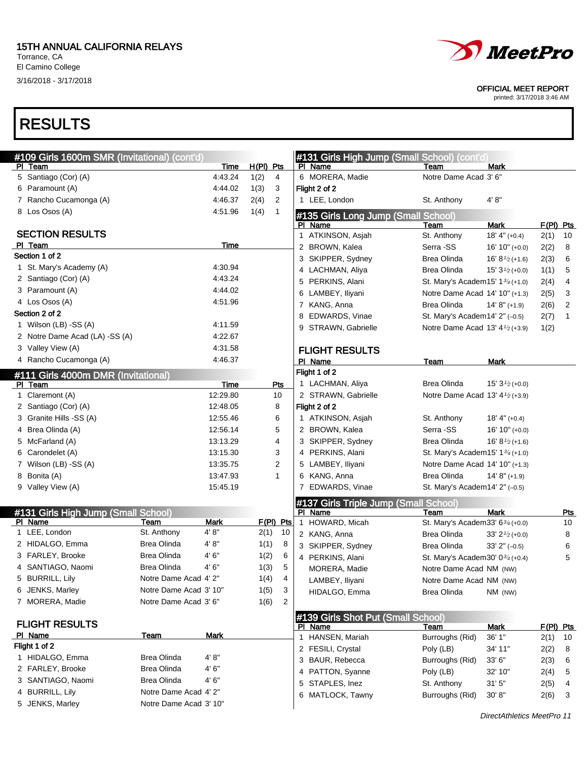El Camino College 3/16/2018 - 3/17/2018



#### OFFICIAL MEET REPORT

printed: 3/17/2018 3:46 AM

| #109 Girls 1600m SMR (Invitational) (cont'd) |                        |             |           |              | #131 Girls High Jump (Small School) (cont'd) |                                             |                                            |           |     |
|----------------------------------------------|------------------------|-------------|-----------|--------------|----------------------------------------------|---------------------------------------------|--------------------------------------------|-----------|-----|
| PI Team                                      |                        | Time        | H(PI) Pts |              | PI Name                                      | Team                                        | <b>Mark</b>                                |           |     |
| 5 Santiago (Cor) (A)                         |                        | 4:43.24     | 1(2)      | 4            | 6 MORERA, Madie                              | Notre Dame Acad 3' 6"                       |                                            |           |     |
| 6 Paramount (A)                              |                        | 4:44.02     | 1(3)      | 3            | Flight 2 of 2                                |                                             |                                            |           |     |
| 7 Rancho Cucamonga (A)                       |                        | 4:46.37     | 2(4)      | 2            | 1 LEE, London                                | St. Anthony                                 | 4' 8''                                     |           |     |
| 8 Los Osos (A)                               |                        | 4.51.96     | 1(4)      | $\mathbf{1}$ | #135 Girls Long Jump (Small School)          |                                             |                                            |           |     |
|                                              |                        |             |           |              | PI Name                                      | Team                                        | Mark                                       | F(PI) Pts |     |
| <b>SECTION RESULTS</b>                       |                        |             |           |              | 1 ATKINSON, Asjah                            | St. Anthony                                 | $18' 4'' (+0.4)$                           | 2(1)      | 10  |
| PI Team                                      |                        | Time        |           |              | 2 BROWN, Kalea                               | Serra -SS                                   | $16' 10'' (+0.0)$                          | 2(2)      | 8   |
| Section 1 of 2                               |                        |             |           |              | 3 SKIPPER, Sydney                            | Brea Olinda                                 | 16' $8\frac{1}{2}$ (+1.6)                  | 2(3)      | 6   |
| 1 St. Mary's Academy (A)                     |                        | 4:30.94     |           |              | 4 LACHMAN, Aliya                             | Brea Olinda                                 | 15' $3\frac{1}{2}$ (+0.0)                  | 1(1)      | 5   |
| 2 Santiago (Cor) (A)                         |                        | 4:43.24     |           |              | 5 PERKINS, Alani                             | St. Mary's Academ 15' $1\frac{3}{4}$ (+1.0) |                                            | 2(4)      | 4   |
| 3 Paramount (A)                              |                        | 4:44.02     |           |              | 6 LAMBEY, Iliyani                            | Notre Dame Acad 14' 10" (+1.3)              |                                            | 2(5)      | 3   |
| 4 Los Osos (A)                               |                        | 4.51.96     |           |              | 7 KANG, Anna                                 | Brea Olinda                                 | $14' 8'' (+1.9)$                           | 2(6)      | 2   |
| Section 2 of 2                               |                        |             |           |              | 8 EDWARDS, Vinae                             | St. Mary's Academ14' 2" (-0.5)              |                                            | 2(7)      | 1   |
| 1 Wilson (LB) -SS (A)                        |                        | 4:11.59     |           |              | 9 STRAWN, Gabrielle                          | Notre Dame Acad 13' 4 <sup>1/2</sup> (+3.9) |                                            | 1(2)      |     |
| 2 Notre Dame Acad (LA) -SS (A)               |                        | 4:22.67     |           |              |                                              |                                             |                                            |           |     |
| 3 Valley View (A)                            |                        | 4:31.58     |           |              | <b>FLIGHT RESULTS</b>                        |                                             |                                            |           |     |
| 4 Rancho Cucamonga (A)                       |                        | 4:46.37     |           |              | PI Name                                      | Team                                        | <b>Mark</b>                                |           |     |
| #111 Girls 4000m DMR (Invitational)          |                        |             |           |              | Flight 1 of 2                                |                                             |                                            |           |     |
| PI Team                                      |                        | Time        |           | Pts          | 1 LACHMAN, Aliya                             | Brea Olinda                                 | 15' $3\frac{1}{2}$ (+0.0)                  |           |     |
| 1 Claremont (A)                              |                        | 12:29.80    |           | 10           | 2 STRAWN, Gabrielle                          | Notre Dame Acad 13' $4\frac{1}{2}$ (+3.9)   |                                            |           |     |
| 2 Santiago (Cor) (A)                         |                        | 12:48.05    |           | 8            | Flight 2 of 2                                |                                             |                                            |           |     |
| 3 Granite Hills -SS (A)                      |                        | 12:55.46    |           | 6            | 1 ATKINSON, Asjah                            | St. Anthony                                 | $18' 4'' (+0.4)$                           |           |     |
| 4 Brea Olinda (A)                            |                        | 12:56.14    |           | 5            | 2 BROWN, Kalea                               | Serra -SS                                   | $16' 10'' (+0.0)$                          |           |     |
| 5 McFarland (A)                              |                        | 13:13.29    |           | 4            | 3 SKIPPER, Sydney                            | Brea Olinda                                 | 16' $8\frac{1}{2}(+1.6)$                   |           |     |
| 6 Carondelet (A)                             |                        | 13:15.30    |           | 3            | 4 PERKINS, Alani                             | St. Mary's Academ 15' $1\frac{3}{4}(+1.0)$  |                                            |           |     |
| 7 Wilson (LB) -SS (A)                        |                        | 13:35.75    |           | 2            | 5 LAMBEY, Iliyani                            | Notre Dame Acad 14' 10" (+1.3)              |                                            |           |     |
| 8 Bonita (A)                                 |                        | 13:47.93    |           | 1            | 6 KANG, Anna                                 | Brea Olinda                                 | $14' 8'' (+1.9)$                           |           |     |
| 9 Valley View (A)                            |                        | 15:45.19    |           |              | 7 EDWARDS, Vinae                             | St. Mary's Academ14' 2" (-0.5)              |                                            |           |     |
|                                              |                        |             |           |              | #137 Girls Triple Jump (Small School)        |                                             |                                            |           |     |
| #131 Girls High Jump (Small School)          |                        |             |           |              | PI Name                                      | Team                                        | Mark                                       |           | Pts |
| PI Name                                      | Team                   | <b>Mark</b> |           | $F(PI)$ Pts  | 1 HOWARD, Micah                              | St. Mary's Academ 33' $6\frac{3}{4}$ (+0.0) |                                            |           | 10  |
| 1 LEE, London                                | St. Anthony            | 4'8"        | 2(1)      | 10           | 2 KANG, Anna                                 | Brea Olinda                                 | $33'$ 2 <sup><math>1/2</math></sup> (+0.0) |           | 8   |
| 2 HIDALGO, Emma                              | Brea Olinda            | 4'8"        | 1(1)      | 8            | 3 SKIPPER, Sydney                            | Brea Olinda                                 | $33'$ 2" $(-0.5)$                          |           | 6   |
| 3 FARLEY, Brooke                             | <b>Brea Olinda</b>     | 4'6''       | 1(2)      | 6            | 4 PERKINS, Alani                             | St. Mary's Academ 30' $0^{3/4}$ (+0.4)      |                                            |           | 5   |
| 4 SANTIAGO, Naomi                            | Brea Olinda            | 4' 6"       | 1(3)      | 5            | MORERA, Madie                                | Notre Dame Acad NM (NW)                     |                                            |           |     |
| 5 BURRILL, Lily                              | Notre Dame Acad 4' 2"  |             | 1(4)      | 4            | LAMBEY, Iliyani                              | Notre Dame Acad NM (NW)                     |                                            |           |     |
| 6 JENKS, Marley                              | Notre Dame Acad 3' 10" |             | 1(5)      | 3            | HIDALGO, Emma                                | Brea Olinda                                 | NM (NW)                                    |           |     |
| 7 MORERA, Madie                              | Notre Dame Acad 3' 6"  |             | 1(6)      | 2            |                                              |                                             |                                            |           |     |
|                                              |                        |             |           |              | #139 Girls Shot Put (Small School)           |                                             |                                            |           |     |
| <b>FLIGHT RESULTS</b>                        |                        |             |           |              | PI Name                                      | <b>Team</b>                                 | Mark                                       | F(PI) Pts |     |
| PI Name                                      | Team                   | <b>Mark</b> |           |              | 1 HANSEN, Mariah                             | Burroughs (Rid)                             | 36' 1"                                     | 2(1)      | 10  |
| Flight 1 of 2                                |                        |             |           |              | 2 FESILI, Crystal                            | Poly (LB)                                   | 34' 11"                                    | 2(2)      | 8   |
| 1 HIDALGO, Emma                              | Brea Olinda            | 4' 8''      |           |              | 3 BAUR, Rebecca                              | Burroughs (Rid)                             | 33' 6"                                     | 2(3)      | 6   |
| 2 FARLEY, Brooke                             | Brea Olinda            | 4'6''       |           |              | 4 PATTON, Syanne                             | Poly (LB)                                   | 32' 10"                                    | 2(4)      | 5   |
| 3 SANTIAGO, Naomi                            | <b>Brea Olinda</b>     | 4'6''       |           |              | 5 STAPLES, Inez                              | St. Anthony                                 | 31'5''                                     | 2(5)      | 4   |
| 4 BURRILL, Lily                              | Notre Dame Acad 4' 2"  |             |           |              | 6 MATLOCK, Tawny                             | Burroughs (Rid)                             | 30' 8''                                    | 2(6)      | 3   |
| 5 JENKS, Marley                              | Notre Dame Acad 3' 10" |             |           |              |                                              |                                             |                                            |           |     |